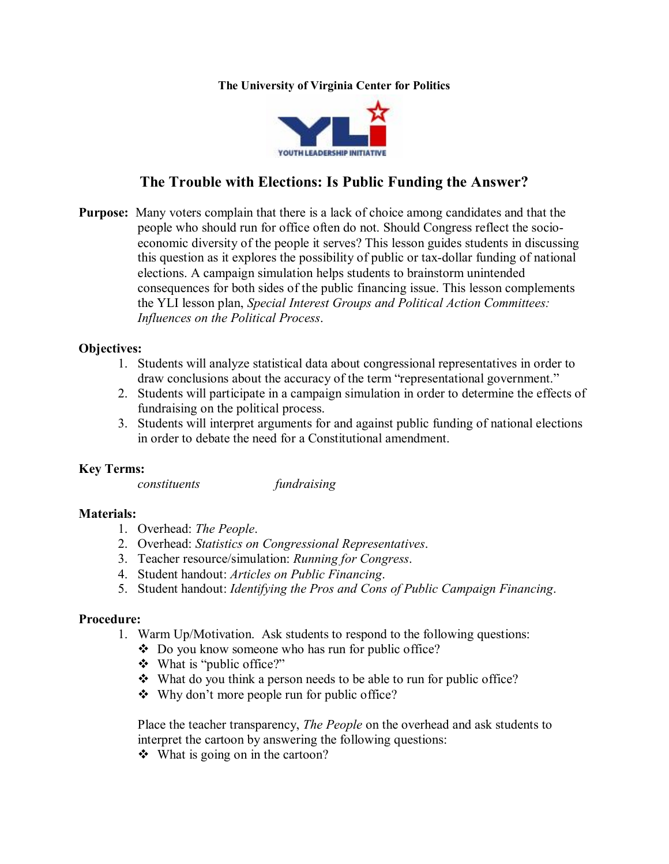#### **The University of Virginia Center for Politics**



## **The Trouble with Elections: Is Public Funding the Answer?**

**Purpose:** Many voters complain that there is a lack of choice among candidates and that the people who should run for office often do not. Should Congress reflect the socio economic diversity of the people it serves? This lesson guides students in discussing this question as it explores the possibility of public or tax-dollar funding of national elections. A campaign simulation helps students to brainstorm unintended consequences for both sides of the public financing issue. This lesson complements the YLI lesson plan, *Special Interest Groups and Political Action Committees: Influences on the Political Process*.

#### **Objectives:**

- 1. Students will analyze statistical data about congressional representatives in order to draw conclusions about the accuracy of the term "representational government."
- 2. Students will participate in a campaign simulation in order to determine the effects of fundraising on the political process.
- 3. Students will interpret arguments for and against public funding of national elections in order to debate the need for a Constitutional amendment.

#### **Key Terms:**

| constituents | fundraising |
|--------------|-------------|
|--------------|-------------|

#### **Materials:**

- 1. Overhead: *The People*.
- 2. Overhead: *Statistics on Congressional Representatives*.
- 3. Teacher resource/simulation: *Running for Congress*.
- 4. Student handout: *Articles on Public Financing*.
- 5. Student handout: *Identifying the Pros and Cons of Public Campaign Financing*.

#### **Procedure:**

- 1. Warm Up/Motivation. Ask students to respond to the following questions:
	- $\bullet$  Do you know someone who has run for public office?
	- $\bullet$  What is "public office?"
	- $\cdot$  What do you think a person needs to be able to run for public office?
	- $\triangleleft$  Why don't more people run for public office?

Place the teacher transparency, *The People* on the overhead and ask students to interpret the cartoon by answering the following questions:

 $\bullet$  What is going on in the cartoon?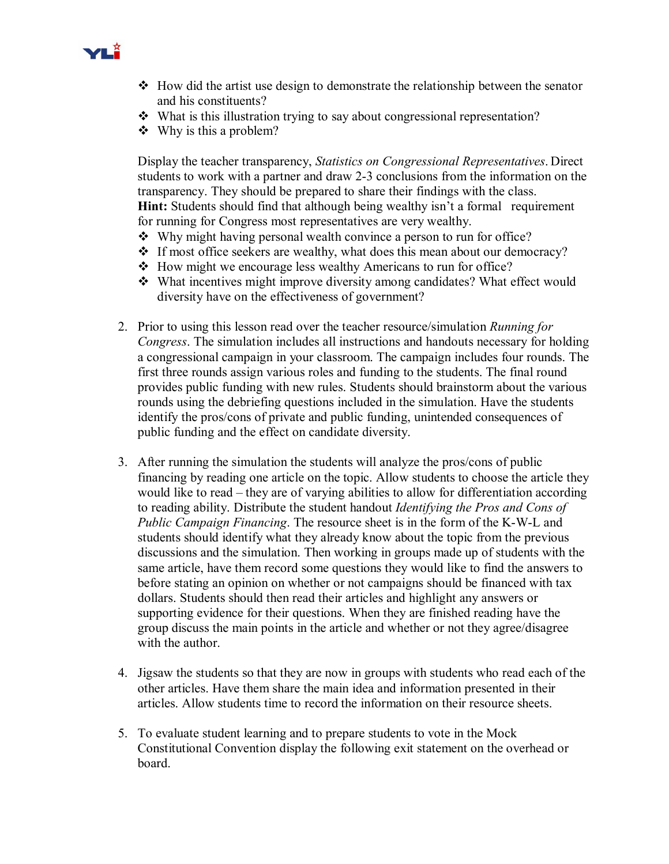

- $\div$  How did the artist use design to demonstrate the relationship between the senator and his constituents?
- $\cdot$  What is this illustration trying to say about congressional representation?
- $\bullet$  Why is this a problem?

Display the teacher transparency, *Statistics on Congressional Representatives*. Direct students to work with a partner and draw 2-3 conclusions from the information on the transparency. They should be prepared to share their findings with the class. **Hint:** Students should find that although being wealthy isn't a formal requirement for running for Congress most representatives are very wealthy.

- $\cdot$  Why might having personal wealth convince a person to run for office?
- $\cdot$  If most office seekers are wealthy, what does this mean about our democracy?
- $\div$  How might we encourage less wealthy Americans to run for office?
- $\cdot$  What incentives might improve diversity among candidates? What effect would diversity have on the effectiveness of government?
- 2. Prior to using this lesson read over the teacher resource/simulation *Running for Congress*. The simulation includes all instructions and handouts necessary for holding a congressional campaign in your classroom. The campaign includes four rounds. The first three rounds assign various roles and funding to the students. The final round provides public funding with new rules. Students should brainstorm about the various rounds using the debriefing questions included in the simulation. Have the students identify the pros/cons of private and public funding, unintended consequences of public funding and the effect on candidate diversity.
- 3. After running the simulation the students will analyze the pros/cons of public financing by reading one article on the topic. Allow students to choose the article they would like to read – they are of varying abilities to allow for differentiation according to reading ability. Distribute the student handout *Identifying the Pros and Cons of Public Campaign Financing*. The resource sheet is in the form of the K-W-L and students should identify what they already know about the topic from the previous discussions and the simulation. Then working in groups made up of students with the same article, have them record some questions they would like to find the answers to before stating an opinion on whether or not campaigns should be financed with tax dollars. Students should then read their articles and highlight any answers or supporting evidence for their questions. When they are finished reading have the group discuss the main points in the article and whether or not they agree/disagree with the author.
- 4. Jigsaw the students so that they are now in groups with students who read each of the other articles. Have them share the main idea and information presented in their articles. Allow students time to record the information on their resource sheets.
- 5. To evaluate student learning and to prepare students to vote in the Mock Constitutional Convention display the following exit statement on the overhead or board.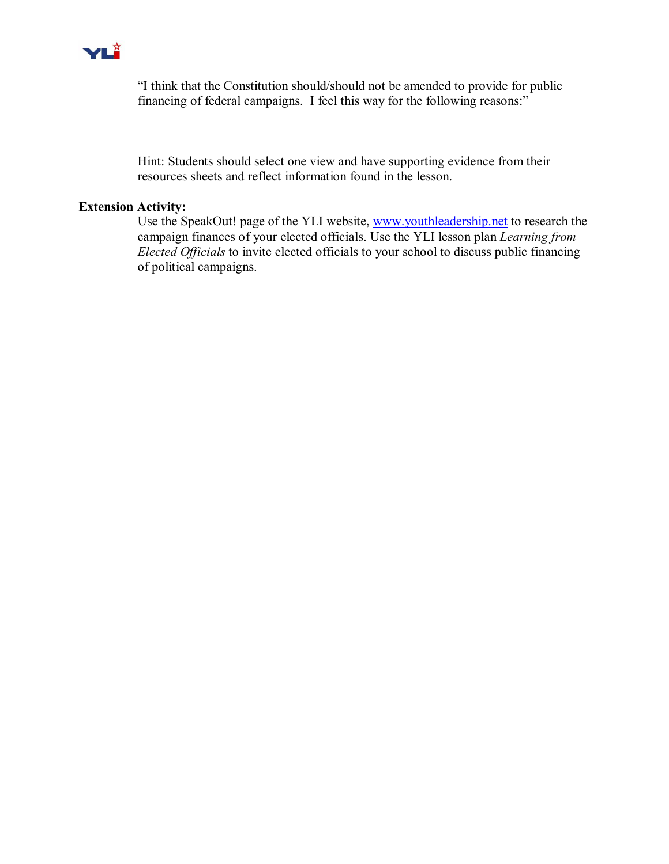

"I think that the Constitution should/should not be amended to provide for public financing of federal campaigns. I feel this way for the following reasons:"

Hint: Students should select one view and have supporting evidence from their resources sheets and reflect information found in the lesson.

#### **Extension Activity:**

Use the SpeakOut! page of the YLI website, [www.youthleadership.net](http://www.youthleadership.net/) to research the campaign finances of your elected officials. Use the YLI lesson plan *Learning from Elected Officials* to invite elected officials to your school to discuss public financing of political campaigns.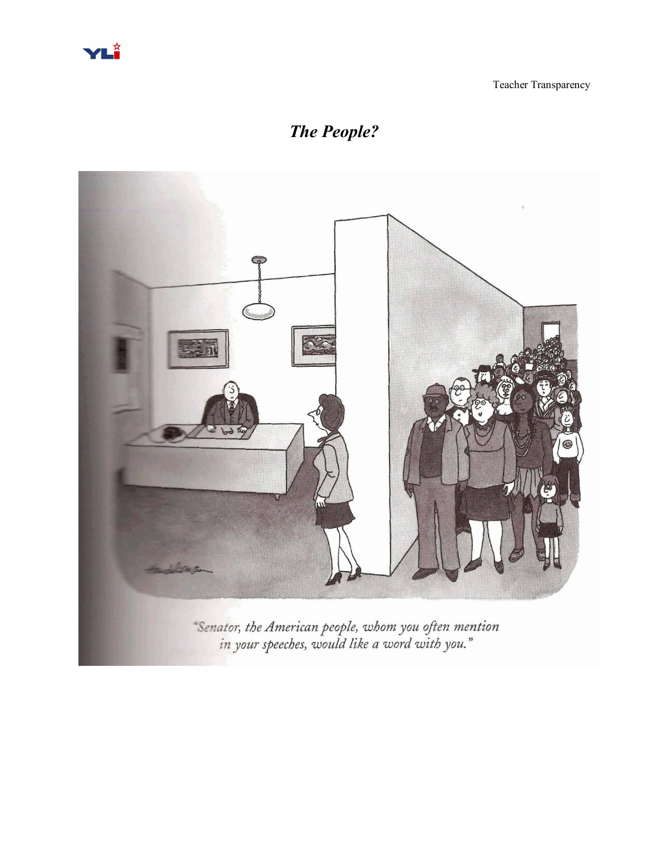

*The People?*



"Senator, the American people, whom you often mention<br>in your speeches, would like a word with you."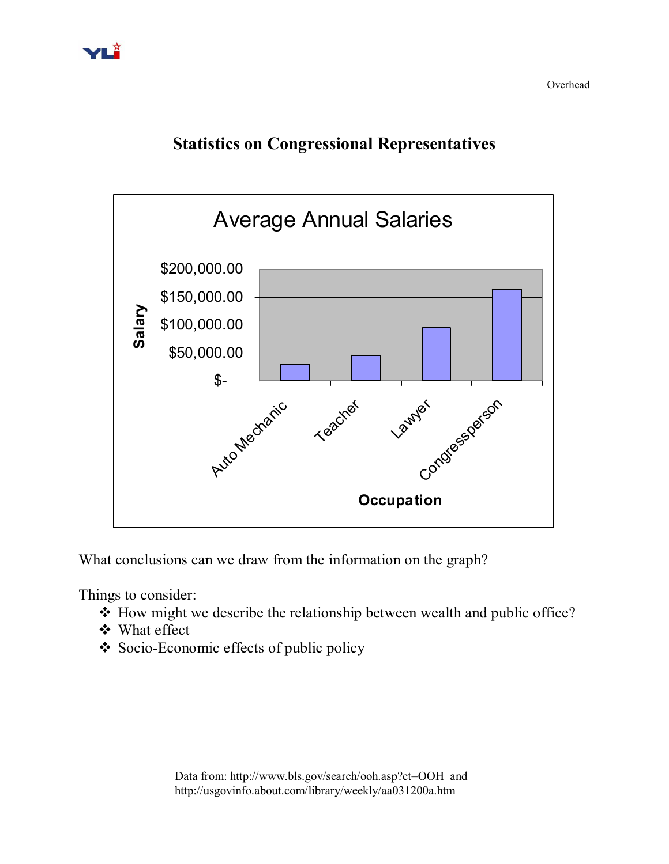

## **Statistics on Congressional Representatives**



What conclusions can we draw from the information on the graph?

Things to consider:

- $\triangle$  How might we describe the relationship between wealth and public office?
- ❖ What effect
- $\triangle$  Socio-Economic effects of public policy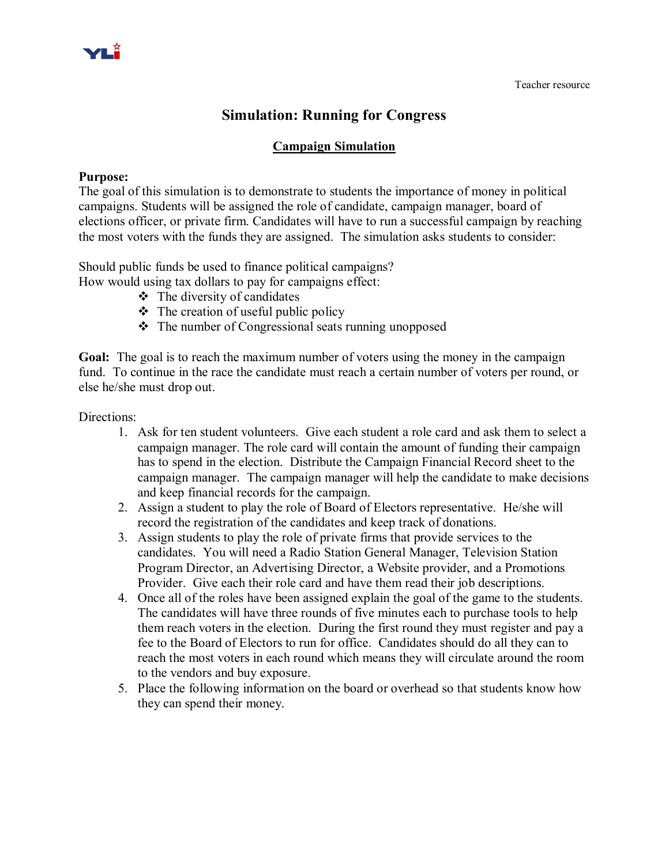## **Simulation: Running for Congress**

### **Campaign Simulation**

#### **Purpose:**

The goal of this simulation is to demonstrate to students the importance of money in political campaigns. Students will be assigned the role of candidate, campaign manager, board of elections officer, or private firm. Candidates will have to run a successful campaign by reaching the most voters with the funds they are assigned. The simulation asks students to consider:

Should public funds be used to finance political campaigns?

How would using tax dollars to pay for campaigns effect:

- $\div$  The diversity of candidates
- $\triangleleft$  The creation of useful public policy
- $\triangle$  The number of Congressional seats running unopposed

**Goal:** The goal is to reach the maximum number of voters using the money in the campaign fund. To continue in the race the candidate must reach a certain number of voters per round, or else he/she must drop out.

Directions:

- 1. Ask for ten student volunteers. Give each student a role card and ask them to select a campaign manager. The role card will contain the amount of funding their campaign has to spend in the election. Distribute the Campaign Financial Record sheet to the campaign manager. The campaign manager will help the candidate to make decisions and keep financial records for the campaign.
- 2. Assign a student to play the role of Board of Electors representative. He/she will record the registration of the candidates and keep track of donations.
- 3. Assign students to play the role of private firms that provide services to the candidates. You will need a Radio Station General Manager, Television Station Program Director, an Advertising Director, a Website provider, and a Promotions Provider. Give each their role card and have them read their job descriptions.
- 4. Once all of the roles have been assigned explain the goal of the game to the students. The candidates will have three rounds of five minutes each to purchase tools to help them reach voters in the election. During the first round they must register and pay a fee to the Board of Electors to run for office. Candidates should do all they can to reach the most voters in each round which means they will circulate around the room to the vendors and buy exposure.
- 5. Place the following information on the board or overhead so that students know how they can spend their money.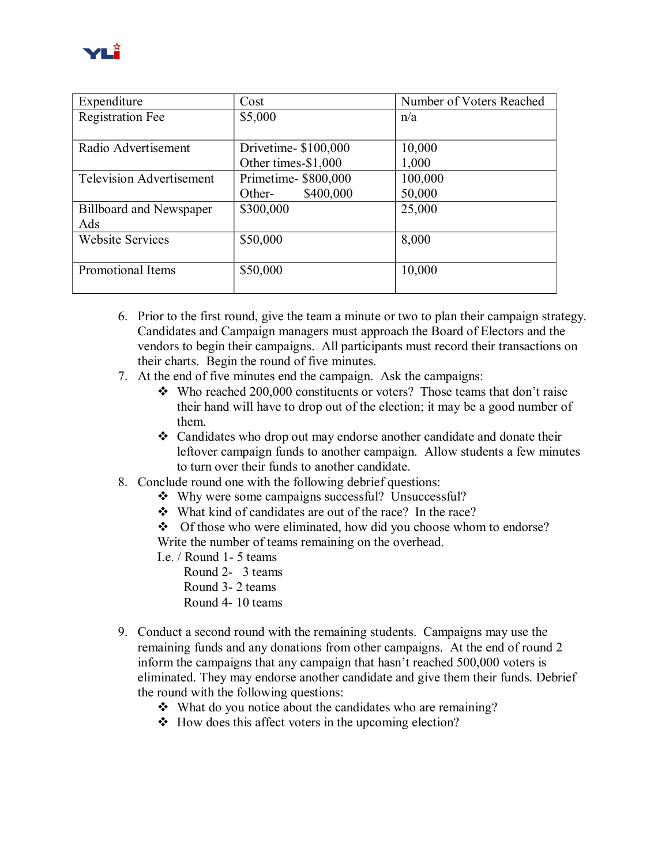

| Expenditure                     | Cost                | Number of Voters Reached |
|---------------------------------|---------------------|--------------------------|
| <b>Registration Fee</b>         | \$5,000             | n/a                      |
|                                 |                     |                          |
| Radio Advertisement             | Drivetime-\$100,000 | 10,000                   |
|                                 | Other times-\$1,000 | 1,000                    |
| <b>Television Advertisement</b> | Primetime-\$800,000 | 100,000                  |
|                                 | \$400,000<br>Other- | 50,000                   |
| <b>Billboard and Newspaper</b>  | \$300,000           | 25,000                   |
| Ads                             |                     |                          |
| <b>Website Services</b>         | \$50,000            | 8,000                    |
|                                 |                     |                          |
| Promotional Items               | \$50,000            | 10,000                   |
|                                 |                     |                          |

- 6. Prior to the first round, give the team a minute or two to plan their campaign strategy. Candidates and Campaign managers must approach the Board of Electors and the vendors to begin their campaigns. All participants must record their transactions on their charts. Begin the round of five minutes.
- 7. At the end of five minutes end the campaign. Ask the campaigns:
	- $\div$  Who reached 200,000 constituents or voters? Those teams that don't raise their hand will have to drop out of the election; it may be a good number of them.
	- $\triangleleft$  Candidates who drop out may endorse another candidate and donate their leftover campaign funds to another campaign. Allow students a few minutes to turn over their funds to another candidate.
- 8. Conclude round one with the following debrief questions:
	- $\cdot \cdot$  Why were some campaigns successful? Unsuccessful?
	- $\div$  What kind of candidates are out of the race? In the race?

• Of those who were eliminated, how did you choose whom to endorse? Write the number of teams remaining on the overhead.

- I.e.  $/$  Round 1 5 teams Round 2- 3 teams
	- Round 3-2 teams
	- Round 4-10 teams
- 9. Conduct a second round with the remaining students. Campaigns may use the remaining funds and any donations from other campaigns. At the end of round 2 inform the campaigns that any campaign that hasn't reached 500,000 voters is eliminated. They may endorse another candidate and give them their funds. Debrief the round with the following questions:
	- $\cdot$  What do you notice about the candidates who are remaining?
	- $\triangle$  How does this affect voters in the upcoming election?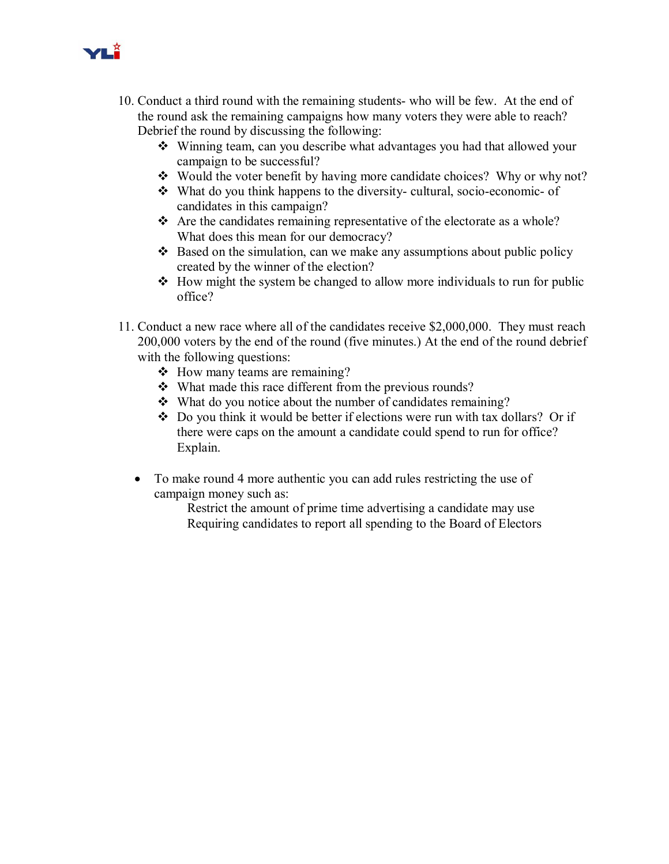

- 10. Conduct a third round with the remaining students- who will be few. At the end of the round ask the remaining campaigns how many voters they were able to reach? Debrief the round by discussing the following:
	- $\mathbf{\hat{y}}$  Winning team, can you describe what advantages you had that allowed your campaign to be successful?
	- $\bullet$  Would the voter benefit by having more candidate choices? Why or why not?
	- $\cdot$  What do you think happens to the diversity- cultural, socio-economic- of candidates in this campaign?
	- $\triangleleft$  Are the candidates remaining representative of the electorate as a whole? What does this mean for our democracy?
	- $\triangleleft$  Based on the simulation, can we make any assumptions about public policy created by the winner of the election?
	- $\triangleleft$  How might the system be changed to allow more individuals to run for public office?
- 11. Conduct a new race where all of the candidates receive \$2,000,000. They must reach 200,000 voters by the end of the round (five minutes.) At the end of the round debrief with the following questions:
	- $\div$  How many teams are remaining?
	- $\bullet$  What made this race different from the previous rounds?
	- $\cdot$  What do you notice about the number of candidates remaining?
	- $\bullet$  Do you think it would be better if elections were run with tax dollars? Or if there were caps on the amount a candidate could spend to run for office? Explain.
	- To make round 4 more authentic you can add rules restricting the use of campaign money such as:

Restrict the amount of prime time advertising a candidate may use Requiring candidates to report all spending to the Board of Electors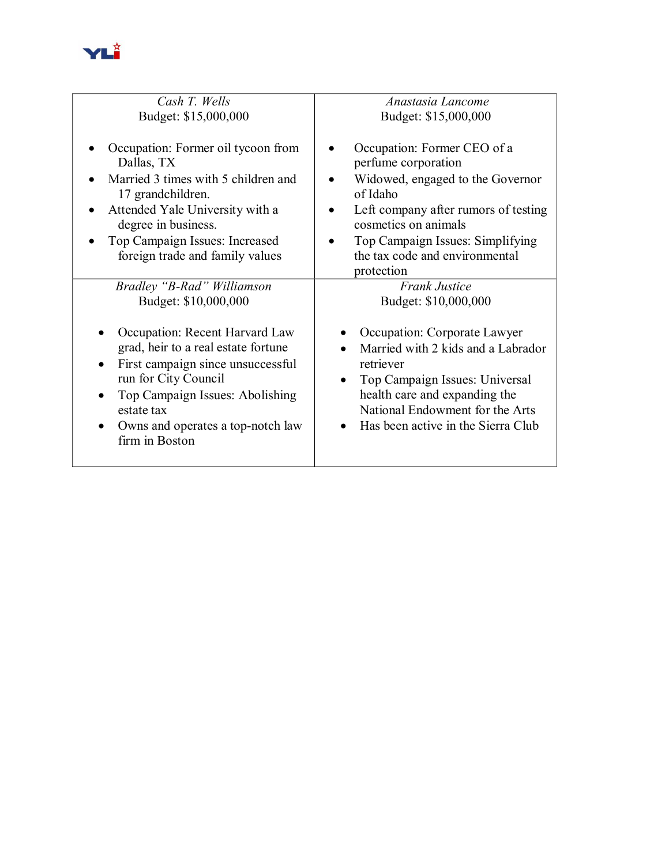

| Cash T. Wells                                                                                                                                                                                                                               | Anastasia Lancome                                                                                                                                                                                                                                      |
|---------------------------------------------------------------------------------------------------------------------------------------------------------------------------------------------------------------------------------------------|--------------------------------------------------------------------------------------------------------------------------------------------------------------------------------------------------------------------------------------------------------|
| Budget: \$15,000,000                                                                                                                                                                                                                        | Budget: \$15,000,000                                                                                                                                                                                                                                   |
| Occupation: Former oil tycoon from<br>Dallas, TX<br>Married 3 times with 5 children and<br>17 grandchildren.<br>Attended Yale University with a<br>degree in business.<br>Top Campaign Issues: Increased<br>foreign trade and family values | Occupation: Former CEO of a<br>perfume corporation<br>Widowed, engaged to the Governor<br>of Idaho<br>Left company after rumors of testing<br>cosmetics on animals<br>Top Campaign Issues: Simplifying<br>the tax code and environmental<br>protection |
| Bradley "B-Rad" Williamson                                                                                                                                                                                                                  | <b>Frank Justice</b>                                                                                                                                                                                                                                   |
| Budget: \$10,000,000                                                                                                                                                                                                                        | Budget: \$10,000,000                                                                                                                                                                                                                                   |
| Occupation: Recent Harvard Law<br>grad, heir to a real estate fortune<br>First campaign since unsuccessful<br>run for City Council<br>Top Campaign Issues: Abolishing<br>estate tax<br>Owns and operates a top-notch law<br>firm in Boston  | Occupation: Corporate Lawyer<br>Married with 2 kids and a Labrador<br>retriever<br>Top Campaign Issues: Universal<br>health care and expanding the<br>National Endowment for the Arts<br>Has been active in the Sierra Club                            |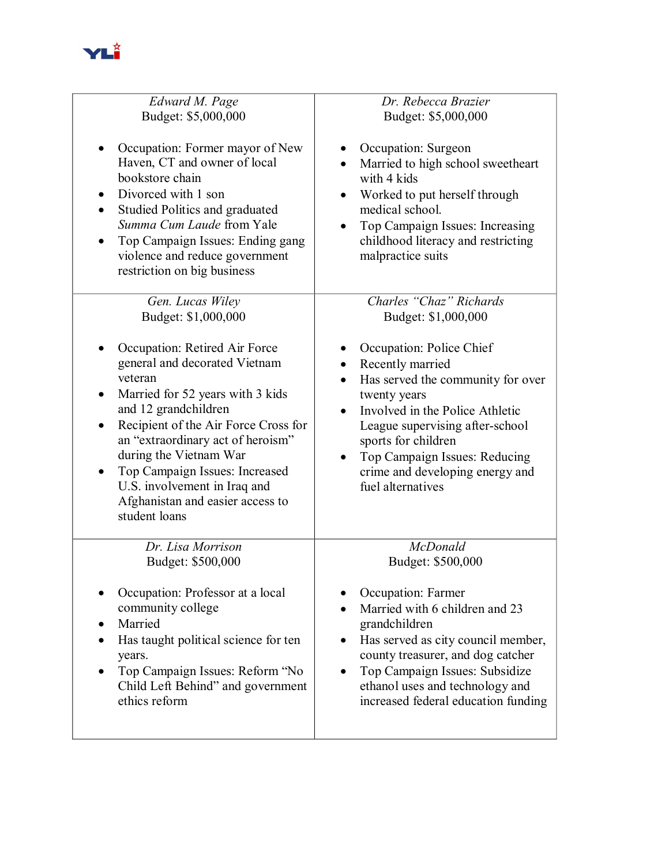

| Edward M. Page<br>Budget: \$5,000,000                                                                                                                                                                                                                                                                                                                                                         | Dr. Rebecca Brazier<br>Budget: \$5,000,000                                                                                                                                                                                                                                                                        |
|-----------------------------------------------------------------------------------------------------------------------------------------------------------------------------------------------------------------------------------------------------------------------------------------------------------------------------------------------------------------------------------------------|-------------------------------------------------------------------------------------------------------------------------------------------------------------------------------------------------------------------------------------------------------------------------------------------------------------------|
| Occupation: Former mayor of New<br>Haven, CT and owner of local<br>bookstore chain<br>Divorced with 1 son<br>Studied Politics and graduated<br>$\bullet$<br>Summa Cum Laude from Yale<br>Top Campaign Issues: Ending gang<br>violence and reduce government<br>restriction on big business                                                                                                    | Occupation: Surgeon<br>Married to high school sweetheart<br>with 4 kids<br>Worked to put herself through<br>medical school.<br>Top Campaign Issues: Increasing<br>childhood literacy and restricting<br>malpractice suits                                                                                         |
| Gen. Lucas Wiley<br>Budget: \$1,000,000                                                                                                                                                                                                                                                                                                                                                       | Charles "Chaz" Richards<br>Budget: \$1,000,000                                                                                                                                                                                                                                                                    |
| Occupation: Retired Air Force<br>general and decorated Vietnam<br>veteran<br>Married for 52 years with 3 kids<br>$\bullet$<br>and 12 grandchildren<br>Recipient of the Air Force Cross for<br>$\bullet$<br>an "extraordinary act of heroism"<br>during the Vietnam War<br>Top Campaign Issues: Increased<br>U.S. involvement in Iraq and<br>Afghanistan and easier access to<br>student loans | Occupation: Police Chief<br>Recently married<br>$\bullet$<br>Has served the community for over<br>$\bullet$<br>twenty years<br>Involved in the Police Athletic<br>League supervising after-school<br>sports for children<br>Top Campaign Issues: Reducing<br>crime and developing energy and<br>fuel alternatives |
| Dr. Lisa Morrison<br>Budget: \$500,000                                                                                                                                                                                                                                                                                                                                                        | <b>McDonald</b><br>Budget: \$500,000                                                                                                                                                                                                                                                                              |
| Occupation: Professor at a local<br>community college<br>Married<br>$\bullet$<br>Has taught political science for ten<br>years.<br>Top Campaign Issues: Reform "No<br>Child Left Behind" and government<br>ethics reform                                                                                                                                                                      | Occupation: Farmer<br>Married with 6 children and 23<br>grandchildren<br>Has served as city council member,<br>county treasurer, and dog catcher<br>Top Campaign Issues: Subsidize<br>ethanol uses and technology and<br>increased federal education funding                                                      |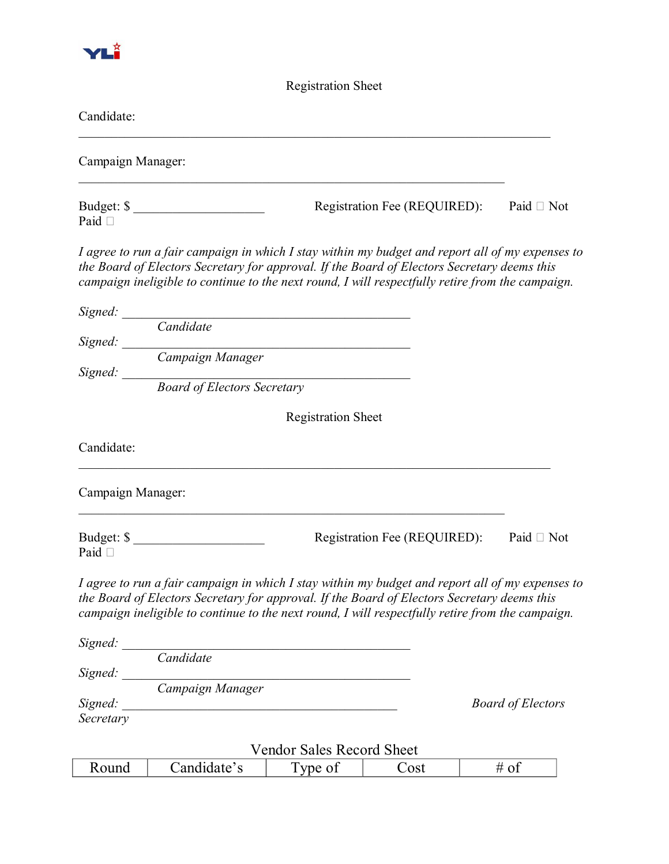

Registration Sheet

Campaign Manager:

| Budget: \$  | Registration Fee (REQUIRED): | Paid $\Box$ Not |
|-------------|------------------------------|-----------------|
| Paid $\Box$ |                              |                 |

 $\_$  , and the set of the set of the set of the set of the set of the set of the set of the set of the set of the set of the set of the set of the set of the set of the set of the set of the set of the set of the set of th

\_\_\_\_\_\_\_\_\_\_\_\_\_\_\_\_\_\_\_\_\_\_\_\_\_\_\_\_\_\_\_\_\_\_\_\_\_\_\_\_\_\_\_\_\_\_\_\_\_\_\_\_\_\_\_\_\_\_\_\_\_\_\_\_\_

*I agree to run a fair campaign in which I stay within my budget and report all of my expenses to the Board of Electors Secretary for approval. If the Board of Electors Secretary deems this campaign ineligible to continue to the next round, I will respectfully retire from the campaign.*

| Candidate<br>Signed:<br>Campaign Manager<br>Signed:<br><b>Board of Electors Secretary</b><br><b>Registration Sheet</b><br>Candidate:<br>Campaign Manager:<br>Budget: $\frac{\sqrt{2}}{2}$<br>Registration Fee (REQUIRED):<br>Paid $\Box$ Not<br>Paid $\square$<br>I agree to run a fair campaign in which I stay within my budget and report all of my expenses to<br>the Board of Electors Secretary for approval. If the Board of Electors Secretary deems this<br>campaign ineligible to continue to the next round, I will respectfully retire from the campaign.<br>Signed: Candidate<br><b>Campaign Manager</b><br>Signed: | Signed: |  |                          |
|----------------------------------------------------------------------------------------------------------------------------------------------------------------------------------------------------------------------------------------------------------------------------------------------------------------------------------------------------------------------------------------------------------------------------------------------------------------------------------------------------------------------------------------------------------------------------------------------------------------------------------|---------|--|--------------------------|
|                                                                                                                                                                                                                                                                                                                                                                                                                                                                                                                                                                                                                                  |         |  |                          |
|                                                                                                                                                                                                                                                                                                                                                                                                                                                                                                                                                                                                                                  |         |  |                          |
|                                                                                                                                                                                                                                                                                                                                                                                                                                                                                                                                                                                                                                  |         |  |                          |
|                                                                                                                                                                                                                                                                                                                                                                                                                                                                                                                                                                                                                                  |         |  |                          |
|                                                                                                                                                                                                                                                                                                                                                                                                                                                                                                                                                                                                                                  |         |  |                          |
|                                                                                                                                                                                                                                                                                                                                                                                                                                                                                                                                                                                                                                  |         |  |                          |
|                                                                                                                                                                                                                                                                                                                                                                                                                                                                                                                                                                                                                                  |         |  |                          |
|                                                                                                                                                                                                                                                                                                                                                                                                                                                                                                                                                                                                                                  |         |  |                          |
|                                                                                                                                                                                                                                                                                                                                                                                                                                                                                                                                                                                                                                  |         |  |                          |
|                                                                                                                                                                                                                                                                                                                                                                                                                                                                                                                                                                                                                                  |         |  |                          |
|                                                                                                                                                                                                                                                                                                                                                                                                                                                                                                                                                                                                                                  |         |  |                          |
|                                                                                                                                                                                                                                                                                                                                                                                                                                                                                                                                                                                                                                  |         |  |                          |
|                                                                                                                                                                                                                                                                                                                                                                                                                                                                                                                                                                                                                                  |         |  |                          |
|                                                                                                                                                                                                                                                                                                                                                                                                                                                                                                                                                                                                                                  |         |  |                          |
|                                                                                                                                                                                                                                                                                                                                                                                                                                                                                                                                                                                                                                  | Signed: |  | <b>Board of Electors</b> |
| Secretary                                                                                                                                                                                                                                                                                                                                                                                                                                                                                                                                                                                                                        |         |  |                          |

| <b>Vendor Sales Record Sheet</b> |             |                |      |  |
|----------------------------------|-------------|----------------|------|--|
| Round                            | Candidate's | <i>v</i> pe of | ∠ost |  |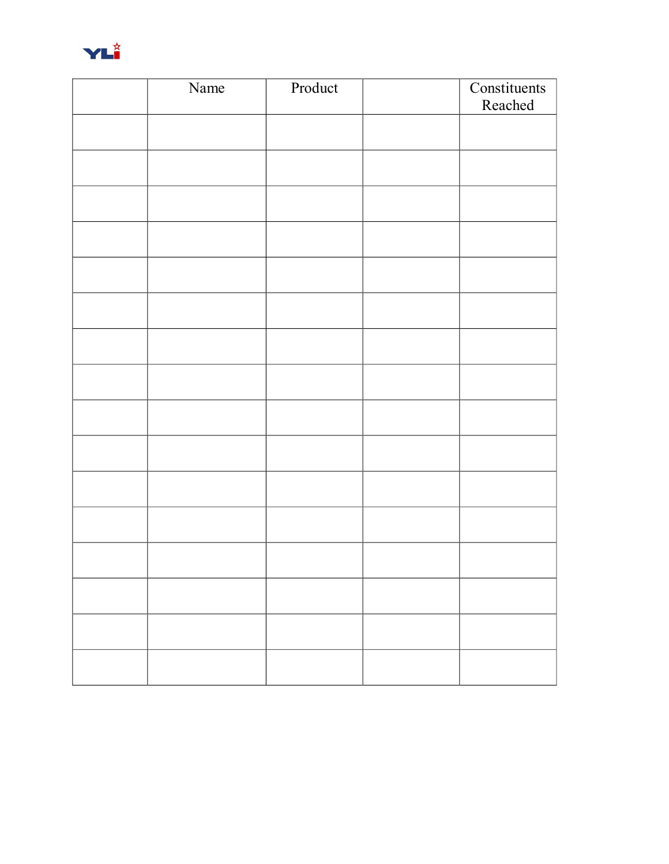

| Name | Product | Constituents |
|------|---------|--------------|
|      |         | Reached      |
|      |         |              |
|      |         |              |
|      |         |              |
|      |         |              |
|      |         |              |
|      |         |              |
|      |         |              |
|      |         |              |
|      |         |              |
|      |         |              |
|      |         |              |
|      |         |              |
|      |         |              |
|      |         |              |
|      |         |              |
|      |         |              |
|      |         |              |
|      |         |              |
|      |         |              |
|      |         |              |
|      |         |              |
|      |         |              |
|      |         |              |
|      |         |              |
|      |         |              |
|      |         |              |
|      |         |              |
|      |         |              |
|      |         |              |
|      |         |              |
|      |         |              |
|      |         |              |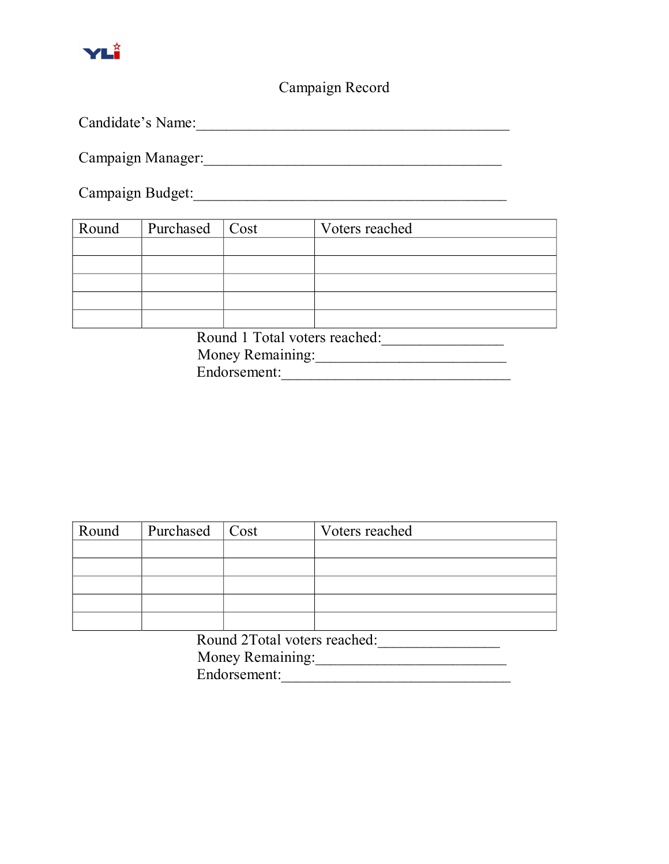

Campaign Record

Candidate's Name:\_\_\_\_\_\_\_\_\_\_\_\_\_\_\_\_\_\_\_\_\_\_\_\_\_\_\_\_\_\_\_\_\_\_\_\_\_\_\_\_\_

Campaign Manager:\_\_\_\_\_\_\_\_\_\_\_\_\_\_\_\_\_\_\_\_\_\_\_\_\_\_\_\_\_\_\_\_\_\_\_\_\_\_\_

Campaign Budget:\_\_\_\_\_\_\_\_\_\_\_\_\_\_\_\_\_\_\_\_\_\_\_\_\_\_\_\_\_\_\_\_\_\_\_\_\_\_\_\_\_

| Round | Purchased   Cost | Voters reached |
|-------|------------------|----------------|
|       |                  |                |
|       |                  |                |
|       |                  |                |
|       |                  |                |
|       |                  |                |

Round 1 Total voters reached:\_\_\_\_\_\_\_\_\_\_\_\_\_\_\_\_ Money Remaining:\_\_\_\_\_\_\_\_\_\_\_\_\_\_\_\_\_\_\_\_\_\_\_\_\_ Endorsement:

| Round | Purchased   Cost | Voters reached |
|-------|------------------|----------------|
|       |                  |                |
|       |                  |                |
|       |                  |                |
|       |                  |                |
|       |                  |                |

Round 2Total voters reached:

Money Remaining: Endorsement: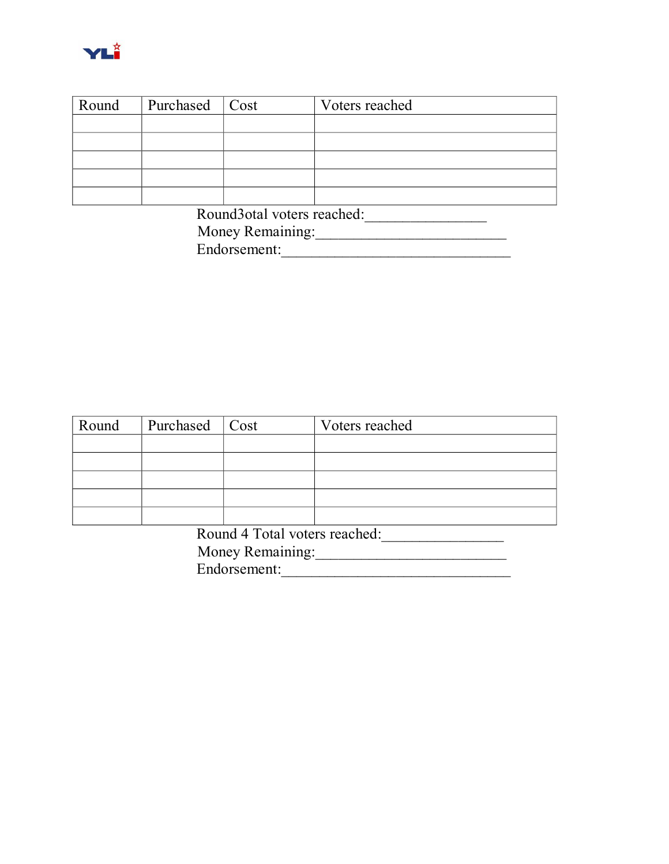

| Round                                    | Purchased   Cost |  | Voters reached |
|------------------------------------------|------------------|--|----------------|
|                                          |                  |  |                |
|                                          |                  |  |                |
|                                          |                  |  |                |
|                                          |                  |  |                |
|                                          |                  |  |                |
| $D_{\text{out}}d2$ atol vatara resolved. |                  |  |                |

| Round3otal voters reached: |
|----------------------------|
| <b>Money Remaining:</b>    |
| Endorsement:               |

| Round | Purchased   Cost | Voters reached |
|-------|------------------|----------------|
|       |                  |                |
|       |                  |                |
|       |                  |                |
|       |                  |                |
|       |                  |                |

Round 4 Total voters reached: Money Remaining:\_\_\_\_\_\_\_\_\_\_\_\_\_\_\_\_\_\_\_\_\_\_\_\_\_ Endorsement:\_\_\_\_\_\_\_\_\_\_\_\_\_\_\_\_\_\_\_\_\_\_\_\_\_\_\_\_\_\_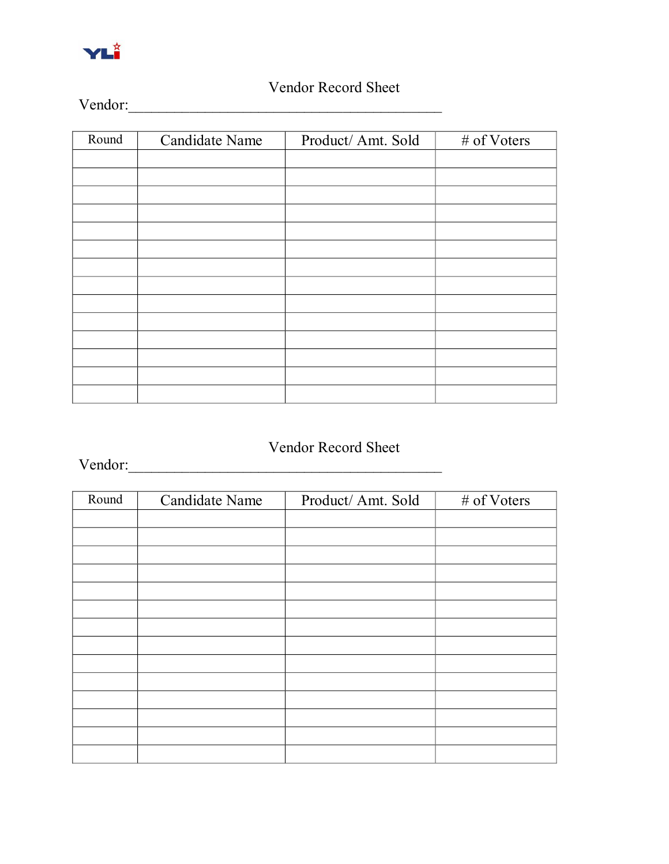

# Vendor Record Sheet

Vendor:\_\_\_\_\_\_\_\_\_\_\_\_\_\_\_\_\_\_\_\_\_\_\_\_\_\_\_\_\_\_\_\_\_\_\_\_\_\_\_\_\_

| Round | Candidate Name | Product/Amt. Sold | # of Voters |
|-------|----------------|-------------------|-------------|
|       |                |                   |             |
|       |                |                   |             |
|       |                |                   |             |
|       |                |                   |             |
|       |                |                   |             |
|       |                |                   |             |
|       |                |                   |             |
|       |                |                   |             |
|       |                |                   |             |
|       |                |                   |             |
|       |                |                   |             |
|       |                |                   |             |
|       |                |                   |             |
|       |                |                   |             |

## Vendor Record Sheet

Vendor:\_\_\_\_\_\_\_\_\_\_\_\_\_\_\_\_\_\_\_\_\_\_\_\_\_\_\_\_\_\_\_\_\_\_\_\_\_\_\_\_\_

| Round | Candidate Name | Product/Amt. Sold | # of Voters |
|-------|----------------|-------------------|-------------|
|       |                |                   |             |
|       |                |                   |             |
|       |                |                   |             |
|       |                |                   |             |
|       |                |                   |             |
|       |                |                   |             |
|       |                |                   |             |
|       |                |                   |             |
|       |                |                   |             |
|       |                |                   |             |
|       |                |                   |             |
|       |                |                   |             |
|       |                |                   |             |
|       |                |                   |             |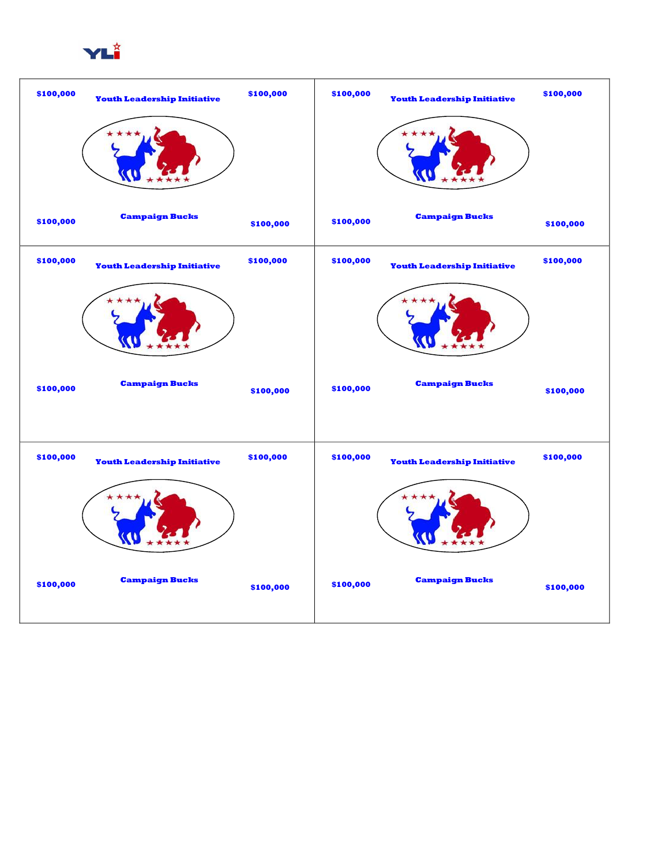

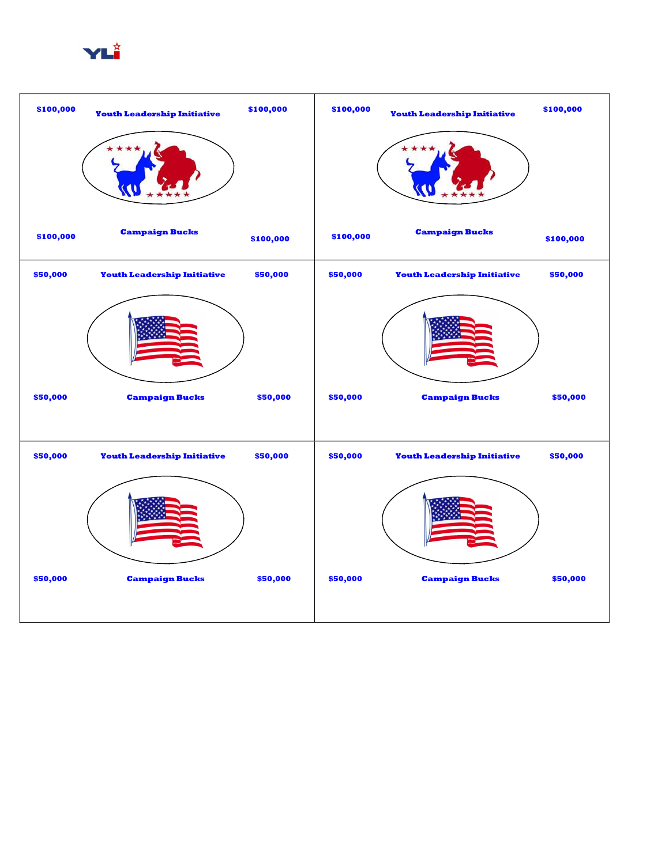

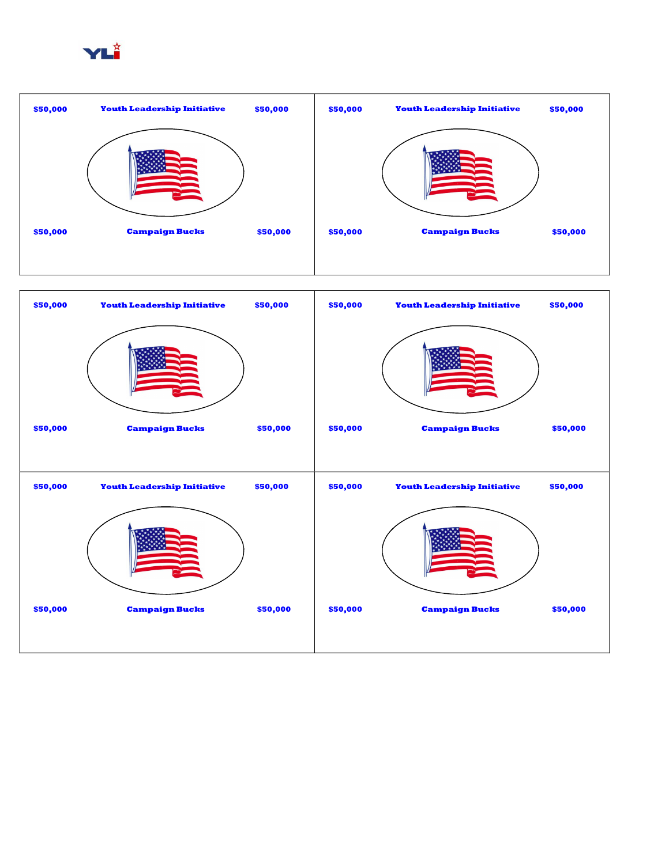



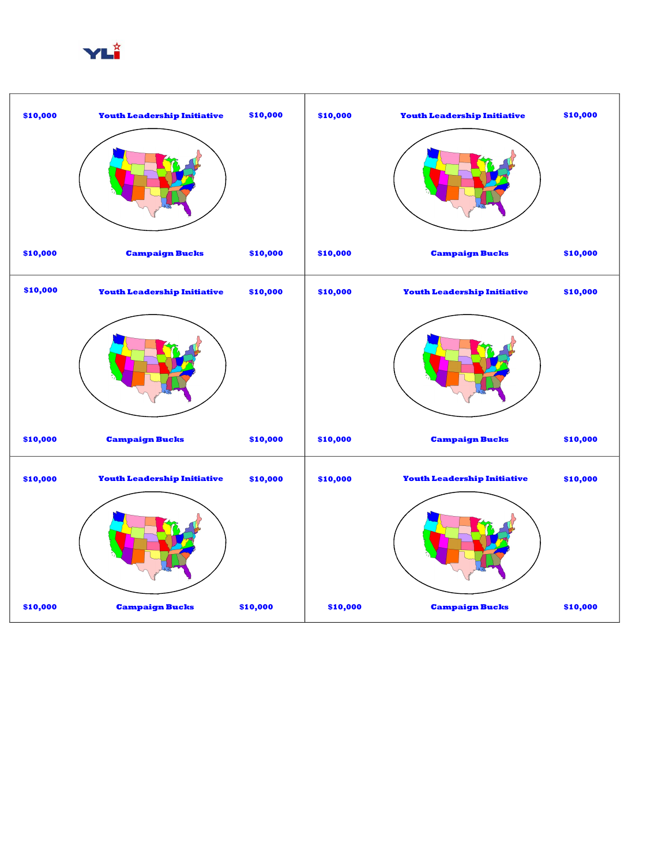

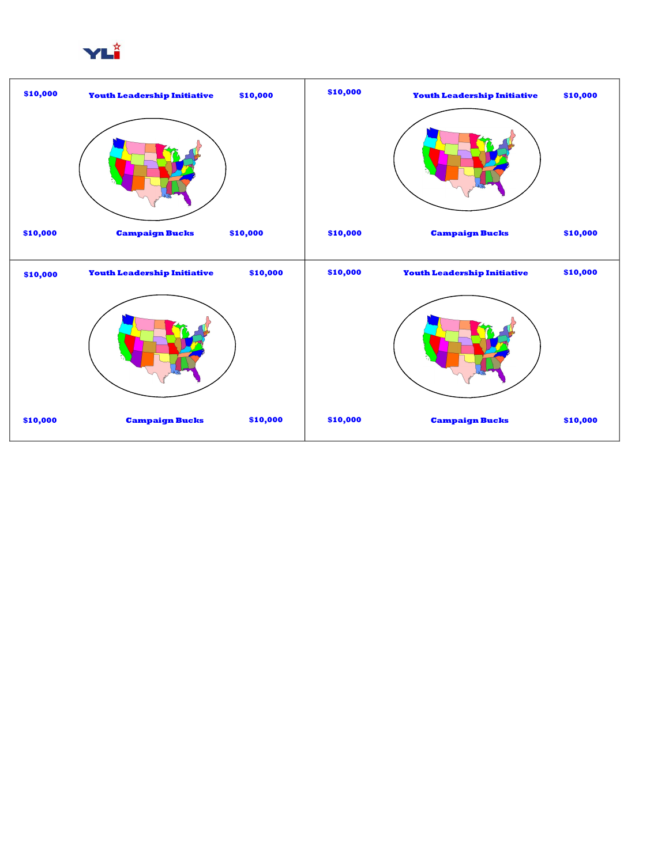

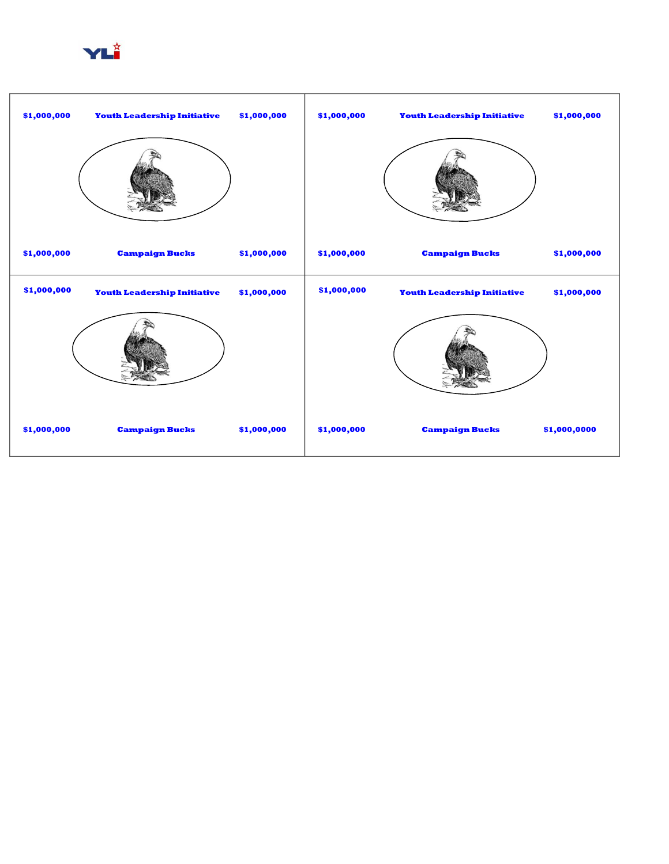

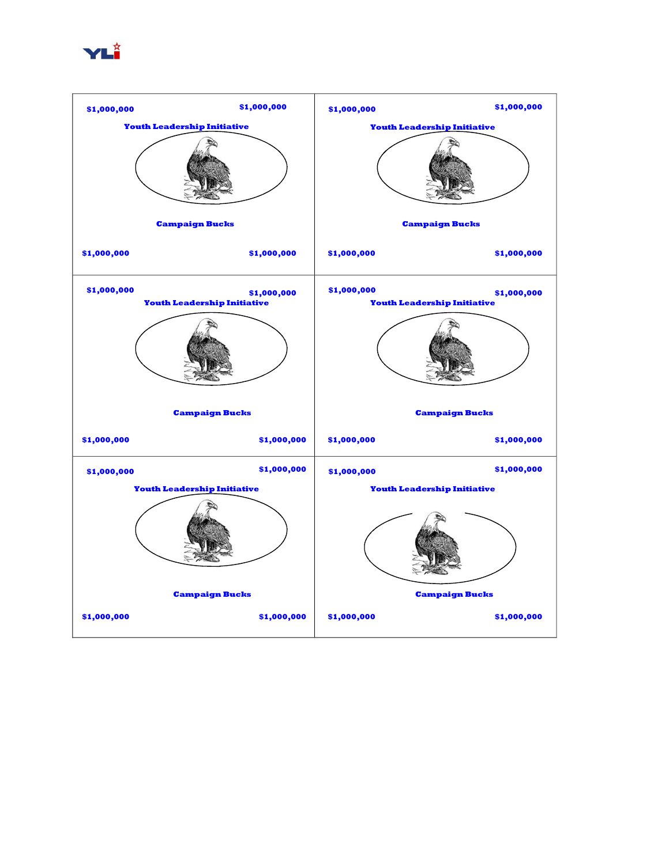

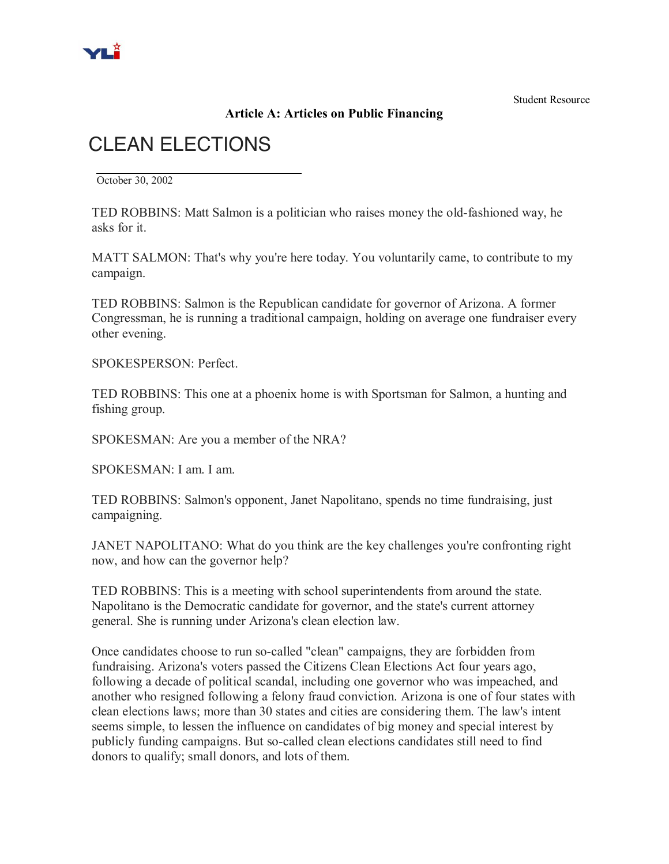

#### **Article A: Articles on Public Financing**

# **CLEAN ELECTIONS**

October 30, 2002

TED ROBBINS: Matt Salmon is a politician who raises money the old-fashioned way, he asks for it.

MATT SALMON: That's why you're here today. You voluntarily came, to contribute to my campaign.

TED ROBBINS: Salmon is the Republican candidate for governor of Arizona. A former Congressman, he is running a traditional campaign, holding on average one fundraiser every other evening.

SPOKESPERSON: Perfect.

TED ROBBINS: This one at a phoenix home is with Sportsman for Salmon, a hunting and fishing group.

SPOKESMAN: Are you a member of the NRA?

SPOKESMAN: I am. I am.

TED ROBBINS: Salmon's opponent, Janet Napolitano, spends no time fundraising, just campaigning.

JANET NAPOLITANO: What do you think are the key challenges you're confronting right now, and how can the governor help?

TED ROBBINS: This is a meeting with school superintendents from around the state. Napolitano is the Democratic candidate for governor, and the state's current attorney general. She is running under Arizona's clean election law.

Once candidates choose to run so-called "clean" campaigns, they are forbidden from fundraising. Arizona's voters passed the Citizens Clean Elections Act four years ago, following a decade of political scandal, including one governor who was impeached, and another who resigned following a felony fraud conviction. Arizona is one of four states with clean elections laws; more than 30 states and cities are considering them. The law's intent seems simple, to lessen the influence on candidates of big money and special interest by publicly funding campaigns. But so-called clean elections candidates still need to find donors to qualify; small donors, and lots of them.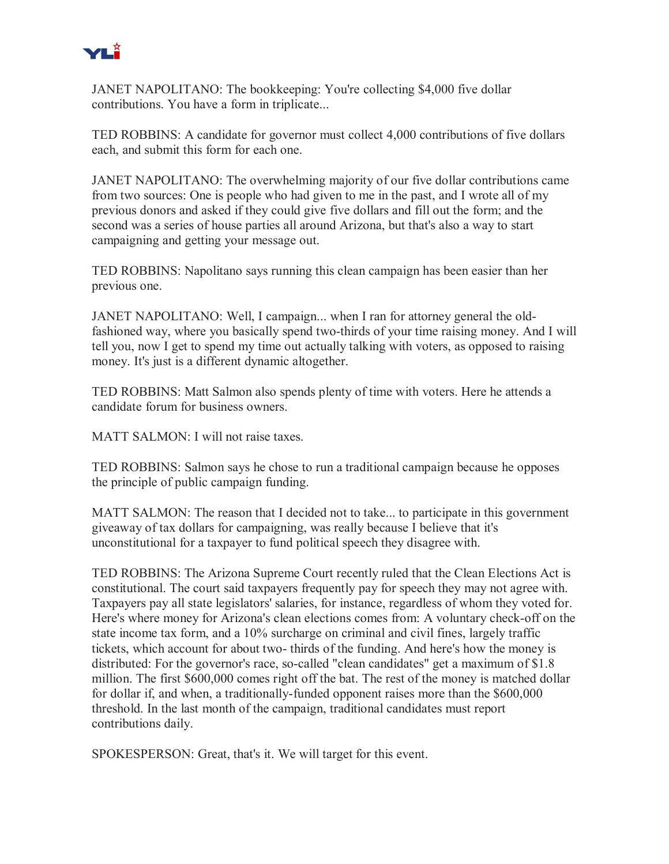

JANET NAPOLITANO: The bookkeeping: You're collecting \$4,000 five dollar contributions. You have a form in triplicate...

TED ROBBINS: A candidate for governor must collect 4,000 contributions of five dollars each, and submit this form for each one.

JANET NAPOLITANO: The overwhelming majority of our five dollar contributions came from two sources: One is people who had given to me in the past, and I wrote all of my previous donors and asked if they could give five dollars and fill out the form; and the second was a series of house parties all around Arizona, but that's also a way to start campaigning and getting your message out.

TED ROBBINS: Napolitano says running this clean campaign has been easier than her previous one.

JANET NAPOLITANO: Well, I campaign... when I ran for attorney general the oldfashioned way, where you basically spend two-thirds of your time raising money. And I will tell you, now I get to spend my time out actually talking with voters, as opposed to raising money. It's just is a different dynamic altogether.

TED ROBBINS: Matt Salmon also spends plenty of time with voters. Here he attends a candidate forum for business owners.

MATT SALMON: I will not raise taxes.

TED ROBBINS: Salmon says he chose to run a traditional campaign because he opposes the principle of public campaign funding.

MATT SALMON: The reason that I decided not to take... to participate in this government giveaway of tax dollars for campaigning, was really because I believe that it's unconstitutional for a taxpayer to fund political speech they disagree with.

TED ROBBINS: The Arizona Supreme Court recently ruled that the Clean Elections Act is constitutional. The court said taxpayers frequently pay for speech they may not agree with. Taxpayers pay all state legislators' salaries, for instance, regardless of whom they voted for. Here's where money for Arizona's clean elections comes from: A voluntary check-off on the state income tax form, and a 10% surcharge on criminal and civil fines, largely traffic tickets, which account for about two-thirds of the funding. And here's how the money is distributed: For the governor's race, so-called "clean candidates" get a maximum of \$1.8 million. The first \$600,000 comes right off the bat. The rest of the money is matched dollar for dollar if, and when, a traditionally-funded opponent raises more than the \$600,000 threshold. In the last month of the campaign, traditional candidates must report contributions daily.

SPOKESPERSON: Great, that's it. We will target for this event.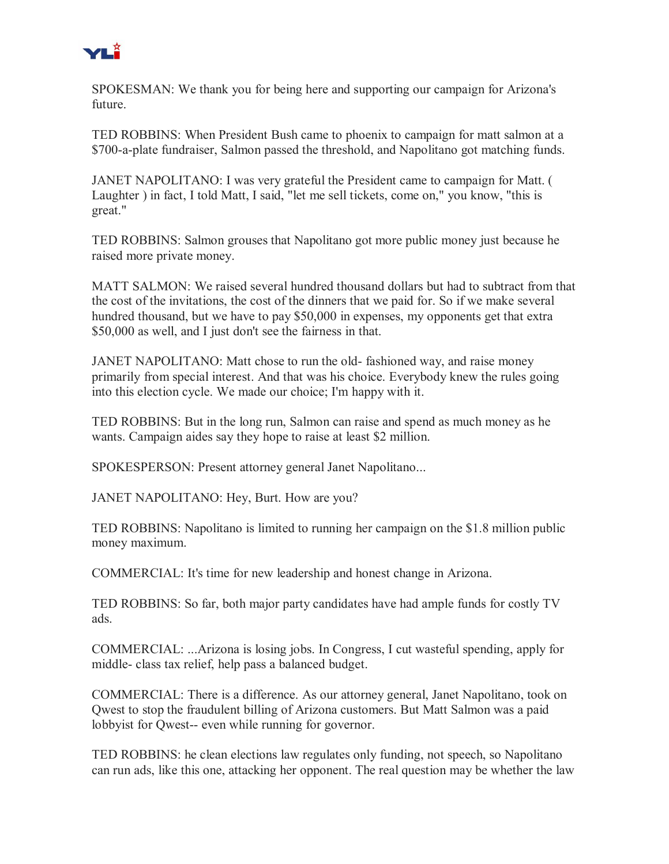

SPOKESMAN: We thank you for being here and supporting our campaign for Arizona's future.

TED ROBBINS: When President Bush came to phoenix to campaign for matt salmon at a \$700-a-plate fundraiser, Salmon passed the threshold, and Napolitano got matching funds.

JANET NAPOLITANO: I was very grateful the President came to campaign for Matt. ( Laughter ) in fact, I told Matt, I said, "let me sell tickets, come on," you know, "this is great."

TED ROBBINS: Salmon grouses that Napolitano got more public money just because he raised more private money.

MATT SALMON: We raised several hundred thousand dollars but had to subtract from that the cost of the invitations, the cost of the dinners that we paid for. So if we make several hundred thousand, but we have to pay \$50,000 in expenses, my opponents get that extra \$50,000 as well, and I just don't see the fairness in that.

JANET NAPOLITANO: Matt chose to run the old-fashioned way, and raise money primarily from special interest. And that was his choice. Everybody knew the rules going into this election cycle. We made our choice; I'm happy with it.

TED ROBBINS: But in the long run, Salmon can raise and spend as much money as he wants. Campaign aides say they hope to raise at least \$2 million.

SPOKESPERSON: Present attorney general Janet Napolitano...

JANET NAPOLITANO: Hey, Burt. How are you?

TED ROBBINS: Napolitano is limited to running her campaign on the \$1.8 million public money maximum.

COMMERCIAL: It's time for new leadership and honest change in Arizona.

TED ROBBINS: So far, both major party candidates have had ample funds for costly TV ads.

COMMERCIAL: ...Arizona is losing jobs. In Congress, I cut wasteful spending, apply for middle class tax relief, help pass a balanced budget.

COMMERCIAL: There is a difference. As our attorney general, Janet Napolitano, took on Qwest to stop the fraudulent billing of Arizona customers. But Matt Salmon was a paid lobbyist for Qwest-- even while running for governor.

TED ROBBINS: he clean elections law regulates only funding, not speech, so Napolitano can run ads, like this one, attacking her opponent. The real question may be whether the law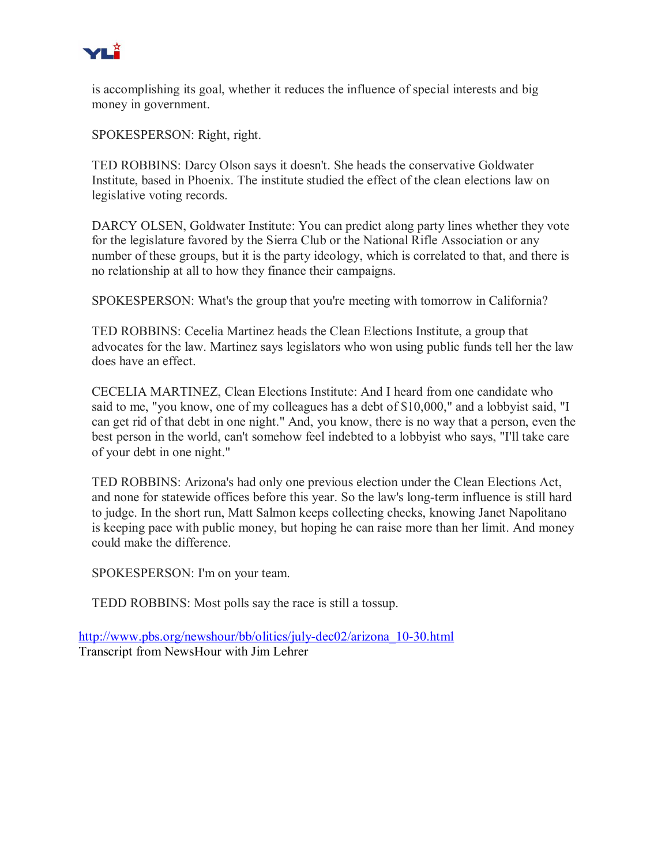

is accomplishing its goal, whether it reduces the influence of special interests and big money in government.

SPOKESPERSON: Right, right.

TED ROBBINS: Darcy Olson says it doesn't. She heads the conservative Goldwater Institute, based in Phoenix. The institute studied the effect of the clean elections law on legislative voting records.

DARCY OLSEN, Goldwater Institute: You can predict along party lines whether they vote for the legislature favored by the Sierra Club or the National Rifle Association or any number of these groups, but it is the party ideology, which is correlated to that, and there is no relationship at all to how they finance their campaigns.

SPOKESPERSON: What's the group that you're meeting with tomorrow in California?

TED ROBBINS: Cecelia Martinez heads the Clean Elections Institute, a group that advocates for the law. Martinez says legislators who won using public funds tell her the law does have an effect.

CECELIA MARTINEZ, Clean Elections Institute: And I heard from one candidate who said to me, "you know, one of my colleagues has a debt of \$10,000," and a lobbyist said, "I can get rid of that debt in one night." And, you know, there is no way that a person, even the best person in the world, can't somehow feel indebted to a lobbyist who says, "I'll take care of your debt in one night."

TED ROBBINS: Arizona's had only one previous election under the Clean Elections Act, and none for statewide offices before this year. So the law's long-term influence is still hard to judge. In the short run, Matt Salmon keeps collecting checks, knowing Janet Napolitano is keeping pace with public money, but hoping he can raise more than her limit. And money could make the difference.

SPOKESPERSON: I'm on your team.

TEDD ROBBINS: Most polls say the race is still a tossup.

http://www.pbs.org/newshour/bb/olitics/july-dec02/arizona\_10-30.html Transcript from NewsHour with Jim Lehrer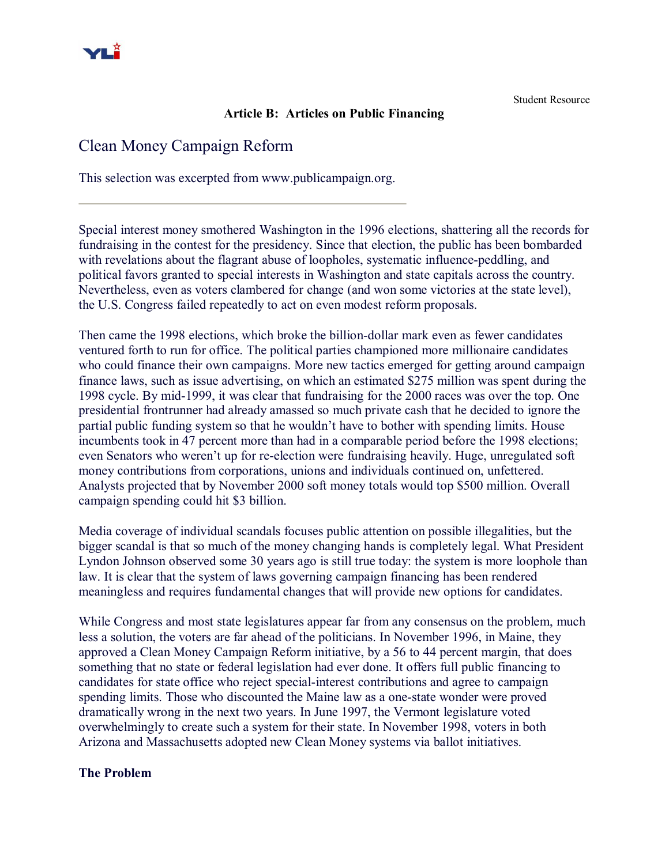

Student Resource

#### **Article B: Articles on Public Financing**

## Clean Money Campaign Reform

This selection was excerpted from www.publicampaign.org.

Special interest money smothered Washington in the 1996 elections, shattering all the records for fundraising in the contest for the presidency. Since that election, the public has been bombarded with revelations about the flagrant abuse of loopholes, systematic influence-peddling, and political favors granted to special interests in Washington and state capitals across the country. Nevertheless, even as voters clambered for change (and won some victories at the state level), the U.S. Congress failed repeatedly to act on even modest reform proposals.

Then came the 1998 elections, which broke the billion-dollar mark even as fewer candidates ventured forth to run for office. The political parties championed more millionaire candidates who could finance their own campaigns. More new tactics emerged for getting around campaign finance laws, such as issue advertising, on which an estimated \$275 million was spent during the 1998 cycle. By mid-1999, it was clear that fundraising for the 2000 races was over the top. One presidential frontrunner had already amassed so much private cash that he decided to ignore the partial public funding system so that he wouldn't have to bother with spending limits. House incumbents took in 47 percent more than had in a comparable period before the 1998 elections; even Senators who weren't up for re-election were fundraising heavily. Huge, unregulated soft money contributions from corporations, unions and individuals continued on, unfettered. Analysts projected that by November 2000 soft money totals would top \$500 million. Overall campaign spending could hit \$3 billion.

Media coverage of individual scandals focuses public attention on possible illegalities, but the bigger scandal is that so much of the money changing hands is completely legal. What President Lyndon Johnson observed some 30 years ago is still true today: the system is more loophole than law. It is clear that the system of laws governing campaign financing has been rendered meaningless and requires fundamental changes that will provide new options for candidates.

While Congress and most state legislatures appear far from any consensus on the problem, much less a solution, the voters are far ahead of the politicians. In November 1996, in Maine, they approved a Clean Money Campaign Reform initiative, by a 56 to 44 percent margin, that does something that no state or federal legislation had ever done. It offers full public financing to candidates for state office who reject special-interest contributions and agree to campaign spending limits. Those who discounted the Maine law as a one-state wonder were proved dramatically wrong in the next two years. In June 1997, the Vermont legislature voted overwhelmingly to create such a system fortheir state. In November 1998, voters in both Arizona and Massachusetts adopted new Clean Money systems via ballot initiatives.

#### **The Problem**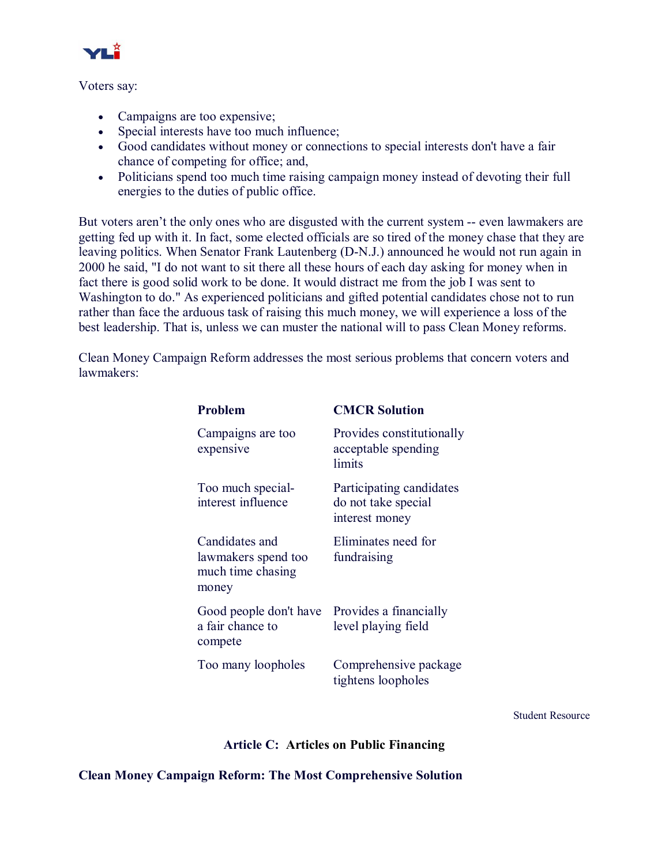

Voters say:

- Campaigns are too expensive;
- · Special interests have too much influence;
- · Good candidates without money or connections to special interests don't have a fair chance of competing for office; and,
- · Politicians spend too much time raising campaign money instead of devoting their full energies to the duties of public office.

But voters aren't the only ones who are disgusted with the current system -- even lawmakers are getting fed up with it. In fact, some elected officials are so tired of the money chase that they are leaving politics. When Senator Frank Lautenberg (D-N.J.) announced he would not run again in 2000 he said, "I do not want to sit there all these hours of each day asking for money when in fact there is good solid work to be done. It would distract me from the job I was sent to Washington to do." As experienced politicians and gifted potential candidates chose not to run rather than face the arduous task of raising this much money, we will experience a loss of the best leadership. That is, unless we can muster the national will to pass Clean Money reforms.

Clean Money Campaign Reform addresses the most serious problems that concern voters and lawmakers:

**Problem CMCR Solution**

| 1 товісін                                                           | UNIUR DURHUI                                                      |
|---------------------------------------------------------------------|-------------------------------------------------------------------|
| Campaigns are too<br>expensive                                      | Provides constitutionally<br>acceptable spending<br>limits        |
| Too much special-<br>interest influence                             | Participating candidates<br>do not take special<br>interest money |
| Candidates and<br>lawmakers spend too<br>much time chasing<br>money | Eliminates need for<br>fundraising                                |
| Good people don't have<br>a fair chance to<br>compete               | Provides a financially<br>level playing field                     |
| Too many loopholes                                                  | Comprehensive package<br>tightens loopholes                       |

#### Student Resource

**Article C: Articles on Public Financing** 

**Clean Money Campaign Reform: The Most Comprehensive Solution**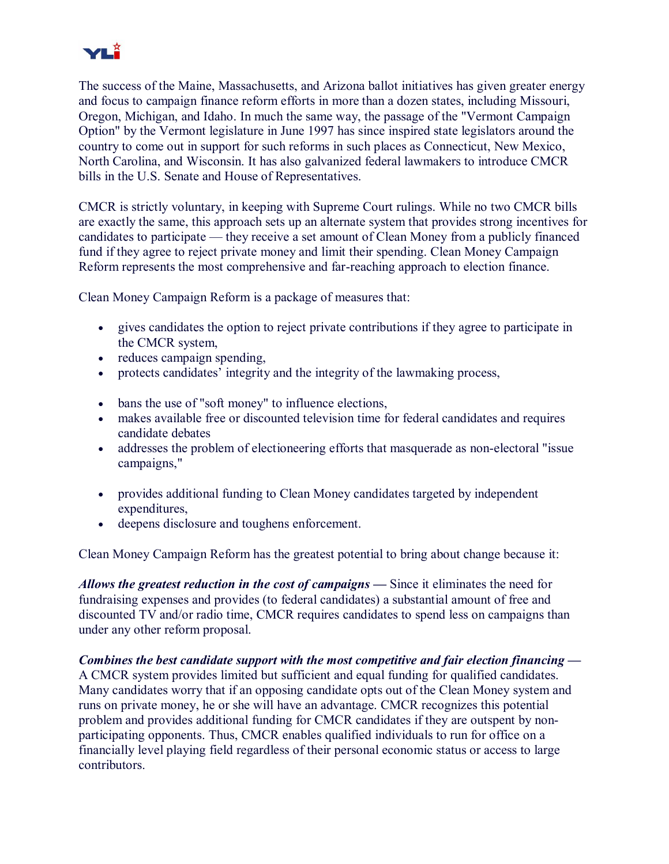

The success of the Maine, Massachusetts, and Arizona ballot initiatives has given greater energy and focus to campaign finance reform efforts in more than a dozen states, including Missouri, Oregon, Michigan, and Idaho. In much the same way, the passage of the "Vermont Campaign Option" by the Vermont legislature in June 1997 has since inspired state legislators around the country to come out in support for such reforms in such places as Connecticut, New Mexico, North Carolina, and Wisconsin. It has also galvanized federal lawmakers to introduce CMCR bills in the U.S. Senate and House of Representatives.

CMCR isstrictly voluntary, in keeping with Supreme Court rulings. While no two CMCR bills are exactly the same, this approach sets up an alternate system that provides strong incentives for candidates to participate — they receive a set amount of Clean Money from a publicly financed fund if they agree to reject private money and limit their spending. Clean Money Campaign Reform represents the most comprehensive and far-reaching approach to election finance.

Clean Money Campaign Reform is a package of measures that:

- · gives candidates the option to reject private contributions if they agree to participate in the CMCR system,
- reduces campaign spending,
- · protects candidates' integrity and the integrity of the lawmaking process,
- bans the use of "soft money" to influence elections,
- · makes available free or discounted television time for federal candidates and requires candidate debates
- addresses the problem of electioneering efforts that masquerade as non-electoral "issue campaigns,"
- · provides additional funding to Clean Money candidates targeted by independent expenditures,
- · deepens disclosure and toughens enforcement.

Clean Money Campaign Reform has the greatest potential to bring about change because it:

*Allows the greatest reduction in the cost of campaigns* **—** Since it eliminates the need for fundraising expenses and provides (to federal candidates) a substantial amount of free and discounted TV and/or radio time, CMCR requires candidates to spend less on campaigns than under any other reform proposal.

*Combines the best candidate support with the most competitive and fair election financing* **—** A CMCR system provides limited but sufficient and equal funding for qualified candidates. Many candidates worry that if an opposing candidate opts out of the Clean Money system and runs on private money, he or she will have an advantage. CMCR recognizes this potential problem and provides additional funding for CMCR candidates if they are outspent by non participating opponents. Thus, CMCR enables qualified individuals to run for office on a financially level playing field regardless of their personal economic status or access to large contributors.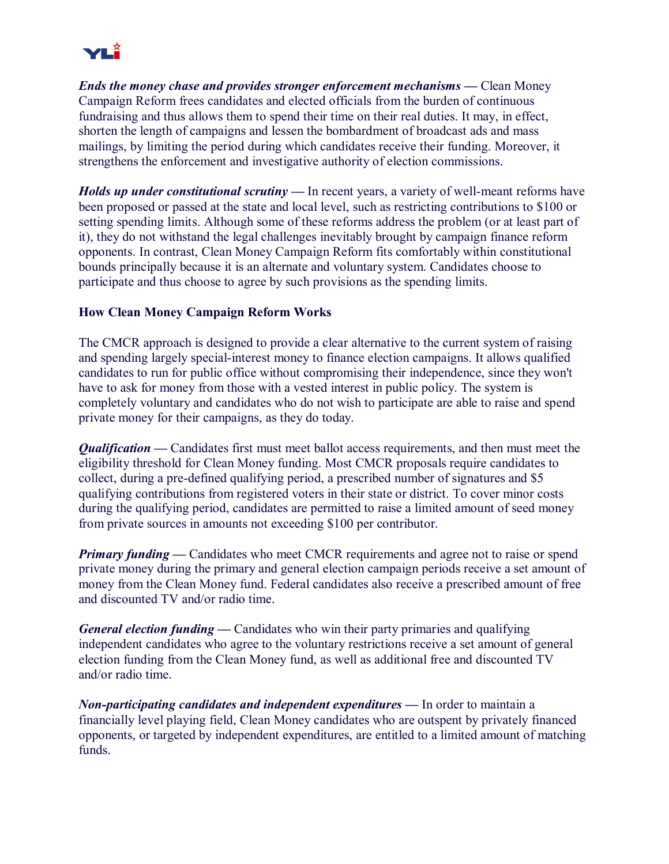

*Ends the money chase and provides stronger enforcement mechanisms —* Clean Money Campaign Reform frees candidates and elected officials from the burden of continuous fundraising and thus allows them to spend their time on their real duties. It may, in effect, shorten the length of campaigns and lessen the bombardment of broadcast ads and mass mailings, by limiting the period during which candidates receive their funding. Moreover, it strengthens the enforcement and investigative authority of election commissions.

*Holds up under constitutional scrutiny* — In recent years, a variety of well-meant reforms have been proposed or passed at the state and local level, such as restricting contributions to \$100 or setting spending limits. Although some of these reforms address the problem (or at least part of it), they do not withstand the legal challenges inevitably brought by campaign finance reform opponents. In contrast, Clean Money Campaign Reform fits comfortably within constitutional bounds principally because it is an alternate and voluntary system. Candidates choose to participate and thus choose to agree by such provisions as the spending limits.

#### **How Clean Money Campaign Reform Works**

The CMCR approach is designed to provide a clear alternative to the current system of raising and spending largely special-interest money to finance election campaigns. It allows qualified candidates to run for public office without compromising their independence, since they won't have to ask for money from those with a vested interest in public policy. The system is completely voluntary and candidates who do not wish to participate are able to raise and spend private money for their campaigns, as they do today.

*Qualification* **—** Candidates first must meet ballot access requirements, and then must meet the eligibility threshold for Clean Money funding. Most CMCR proposals require candidates to collect, during a pre-defined qualifying period, a prescribed number of signatures and \$5 qualifying contributions from registered voters in their state or district. To cover minor costs during the qualifying period, candidates are permitted to raise a limited amount of seed money from private sources in amounts not exceeding \$100 per contributor.

*Primary funding* — Candidates who meet CMCR requirements and agree not to raise or spend private money during the primary and general election campaign periods receive a set amount of money from the Clean Money fund. Federal candidates also receive a prescribed amount of free and discounted TV and/or radio time.

*General election funding* — Candidates who win their party primaries and qualifying independent candidates who agree to the voluntary restrictions receive a set amount of general election funding from the Clean Money fund, as well as additional free and discounted TV and/or radio time.

*Non-participating candidates and independent <i>expenditures* — In order to maintain a financially level playing field, Clean Money candidates who are outspent by privately financed opponents, or targeted by independent expenditures, are entitled to a limited amount of matching funds.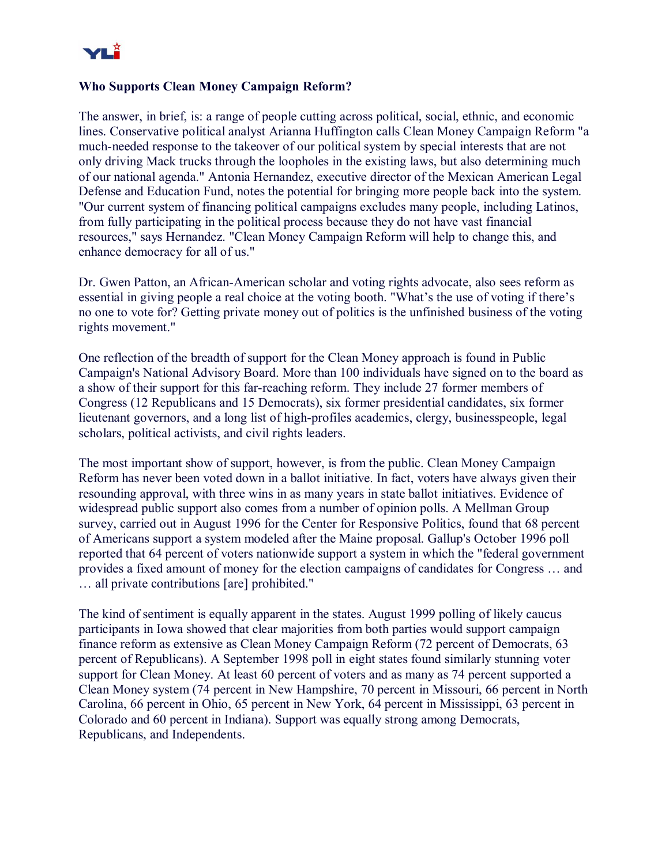

#### **Who Supports Clean Money Campaign Reform?**

The answer, in brief, is: a range of people cutting across political, social, ethnic, and economic lines. Conservative political analyst Arianna Huffington calls Clean Money Campaign Reform "a much-needed response to the takeover of our political system by special interests that are not only driving Mack trucks through the loopholes in the existing laws, but also determining much of our national agenda." Antonia Hernandez, executive director of the Mexican American Legal Defense and Education Fund, notes the potential for bringing more people back into the system. "Our current system of financing political campaigns excludes many people, including Latinos, from fully participating in the political process because they do not have vast financial resources," says Hernandez. "Clean Money Campaign Reform will help to change this, and enhance democracy for all of us."

Dr. Gwen Patton, an African-American scholar and voting rights advocate, also sees reform as essential in giving people a real choice at the voting booth. "What's the use of voting if there's no one to vote for? Getting private money out of politics is the unfinished business of the voting rights movement."

One reflection of the breadth of support for the Clean Money approach is found in Public Campaign's National Advisory Board. More than 100 individuals have signed on to the board as a show of their support for this far-reaching reform. They include 27 former members of Congress (12 Republicans and 15 Democrats), six former presidential candidates, six former lieutenant governors, and a long list of high-profiles academics, clergy, businesspeople, legal scholars, political activists, and civil rights leaders.

The most important show of support, however, is from the public. Clean Money Campaign Reform has never been voted down in a ballot initiative. In fact, voters have always given their resounding approval, with three wins in as many years in state ballot initiatives. Evidence of widespread public support also comes from a number of opinion polls. A Mellman Group survey, carried out in August 1996 for the Center for Responsive Politics, found that 68 percent of Americans support a system modeled after the Maine proposal. Gallup's October 1996 poll reported that 64 percent of voters nationwide support a system in which the "federal government provides a fixed amount of money for the election campaigns of candidates for Congress … and … all private contributions [are] prohibited."

The kind of sentiment is equally apparent in the states. August 1999 polling of likely caucus participants in Iowa showed that clear majorities from both parties would support campaign finance reform as extensive as Clean Money Campaign Reform (72 percent of Democrats, 63 percent of Republicans). A September 1998 poll in eight states found similarly stunning voter support for Clean Money. At least 60 percent of voters and as many as 74 percent supported a Clean Money system (74 percent in New Hampshire, 70 percent in Missouri, 66 percent in North Carolina, 66 percent in Ohio, 65 percent in New York, 64 percent in Mississippi, 63 percent in Colorado and 60 percent in Indiana). Support was equally strong among Democrats, Republicans, and Independents.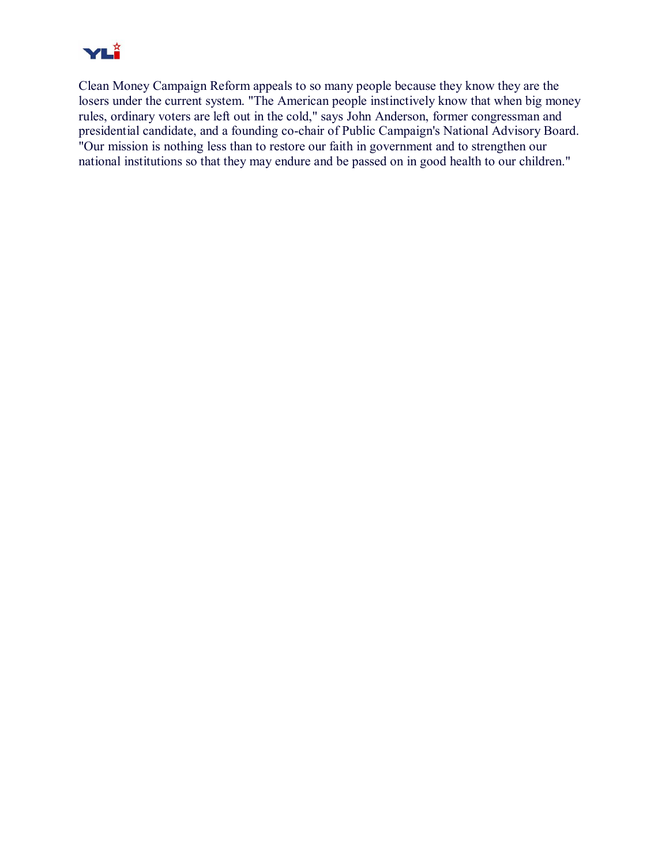

Clean Money Campaign Reform appeals to so many people because they know they are the losers under the current system. "The American people instinctively know that when big money rules, ordinary voters are left out in the cold," says John Anderson, former congressman and presidential candidate, and a founding co-chair of Public Campaign's National Advisory Board. "Our mission is nothing less than to restore our faith in government and to strengthen our national institutions so that they may endure and be passed on in good health to our children."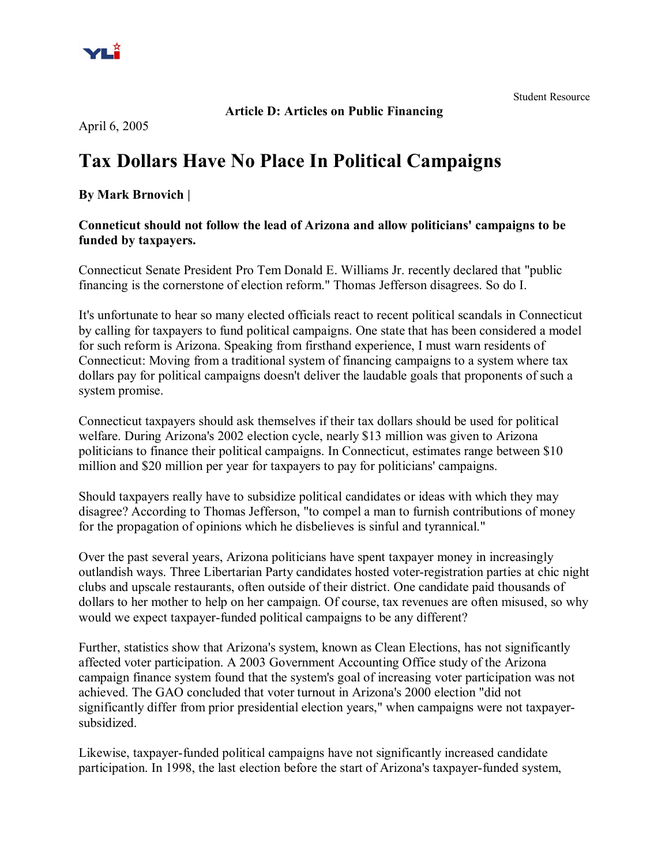

**Article D: Articles on Public Financing**

April 6, 2005

# **Tax Dollars Have No Place In Political Campaigns**

**By Mark Brnovich |** 

#### **Conneticut should not follow the lead of Arizona and allow politicians' campaigns to be funded by taxpayers.**

Connecticut Senate President Pro Tem Donald E. Williams Jr. recently declared that "public financing is the cornerstone of election reform." Thomas Jefferson disagrees. So do I.

It's unfortunate to hear so many elected officials react to recent political scandals in Connecticut by calling for taxpayers to fund political campaigns. One state that has been considered a model for such reform is Arizona. Speaking from firsthand experience, I must warn residents of Connecticut: Moving from a traditional system of financing campaigns to a system where tax dollars pay for political campaigns doesn't deliver the laudable goals that proponents of such a system promise.

Connecticut taxpayers should ask themselves if their tax dollars should be used for political welfare. During Arizona's 2002 election cycle, nearly \$13 million was given to Arizona politicians to finance their political campaigns. In Connecticut, estimates range between \$10 million and \$20 million per year for taxpayers to pay for politicians' campaigns.

Should taxpayers really have to subsidize political candidates or ideas with which they may disagree? According to Thomas Jefferson, "to compel a man to furnish contributions of money for the propagation of opinions which he disbelieves is sinful and tyrannical."

Over the past several years, Arizona politicians have spent taxpayer money in increasingly outlandish ways. Three Libertarian Party candidates hosted voter-registration parties at chic night clubs and upscale restaurants, often outside of their district. One candidate paid thousands of dollars to her mother to help on her campaign. Of course, tax revenues are often misused, so why would we expect taxpayer-funded political campaigns to be any different?

Further, statistics show that Arizona's system, known as Clean Elections, has not significantly affected voter participation. A 2003 Government Accounting Office study of the Arizona campaign finance system found that the system's goal of increasing voter participation was not achieved. The GAO concluded that voter turnout in Arizona's 2000 election "did not significantly differ from prior presidential election years," when campaigns were not taxpayersubsidized.

Likewise, taxpayer-funded political campaigns have not significantly increased candidate participation. In 1998, the last election before the start of Arizona's taxpayer-funded system,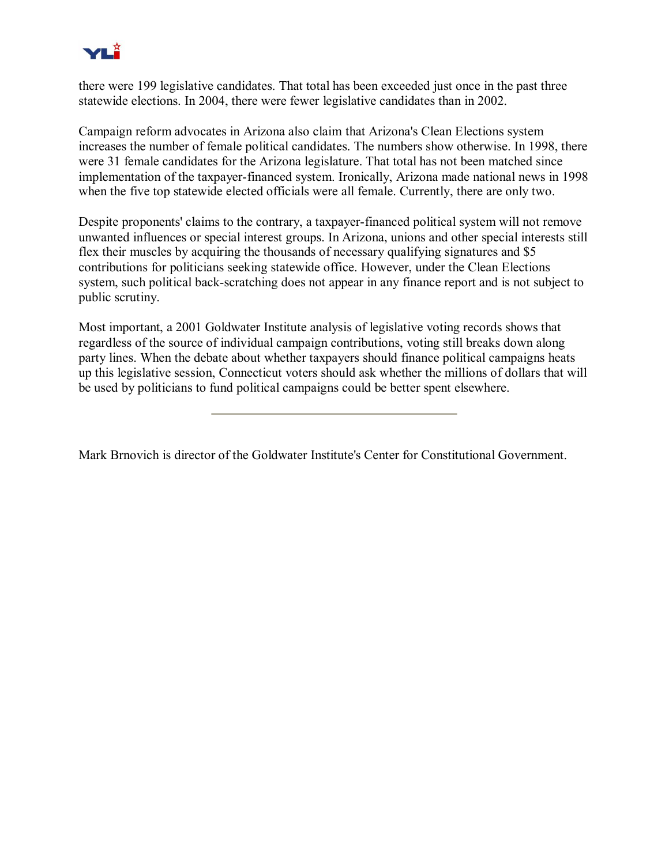

there were 199 legislative candidates. That total has been exceeded just once in the past three statewide elections. In 2004, there were fewer legislative candidates than in 2002.

Campaign reform advocates in Arizona also claim that Arizona's Clean Elections system increases the number of female political candidates. The numbers show otherwise. In 1998, there were 31 female candidates for the Arizona legislature. That total has not been matched since implementation of the taxpayer-financed system. Ironically, Arizona made national news in 1998 when the five top statewide elected officials were all female. Currently, there are only two.

Despite proponents' claims to the contrary, a taxpayer-financed political system will not remove unwanted influences or special interest groups. In Arizona, unions and other special interests still flex their muscles by acquiring the thousands of necessary qualifying signatures and \$5 contributions for politicians seeking statewide office. However, under the Clean Elections system, such political back-scratching does not appear in any finance report and is not subject to public scrutiny.

Most important, a 2001 Goldwater Institute analysis of legislative voting records shows that regardless of the source of individual campaign contributions, voting still breaks down along party lines. When the debate about whether taxpayers should finance political campaigns heats up this legislative session, Connecticut voters should ask whether the millions of dollars that will be used by politicians to fund political campaigns could be better spent elsewhere.

Mark Brnovich is director of the Goldwater Institute's Center for Constitutional Government.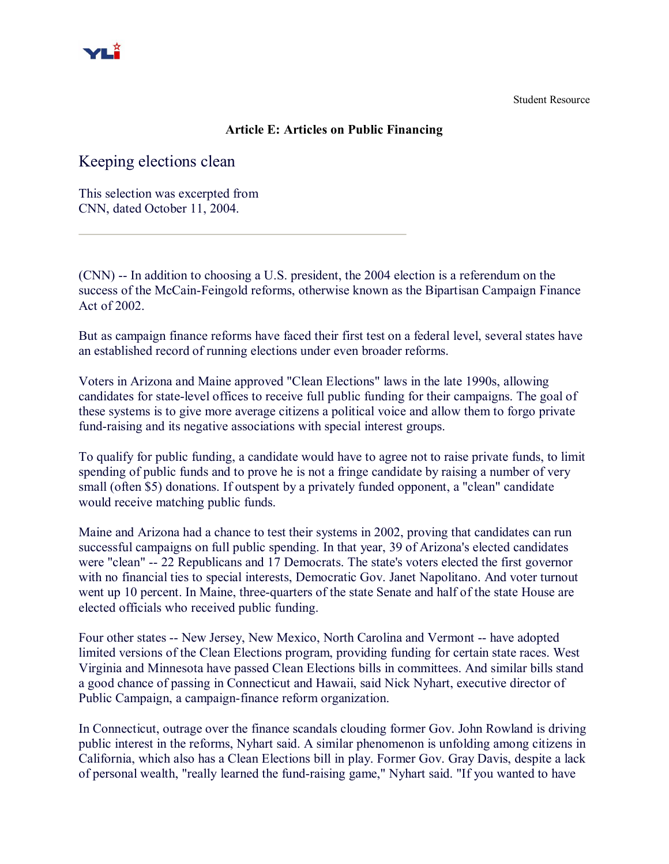Student Resource



#### **Article E: Articles on Public Financing**

Keeping elections clean

This selection was excerpted from CNN, dated October 11, 2004.

 $(CNN)$  -- In addition to choosing a U.S. president, the 2004 election is a referendum on the success of the McCain-Feingold reforms, otherwise known as the Bipartisan Campaign Finance Act of 2002.

But as campaign finance reforms have faced their first test on a federal level, several states have an established record of running elections under even broader reforms.

Voters in Arizona and Maine approved "Clean Elections" laws in the late 1990s, allowing candidates for state-level offices to receive full public funding for their campaigns. The goal of these systems is to give more average citizens a political voice and allow them to forgo private fund-raising and its negative associations with special interest groups.

To qualify for public funding, a candidate would have to agree not to raise private funds, to limit spending of public funds and to prove he is not a fringe candidate by raising a number of very small (often \$5) donations. If outspent by a privately funded opponent, a "clean" candidate would receive matching public funds.

Maine and Arizona had a chance to test their systems in 2002, proving that candidates can run successful campaigns on full public spending. In that year, 39 of Arizona's elected candidates were "clean" -- 22 Republicans and 17 Democrats. The state's voters elected the first governor with no financial ties to special interests, Democratic Gov. Janet Napolitano. And voter turnout went up 10 percent. In Maine, three-quarters of the state Senate and half of the state House are elected officials who received public funding.

Four other states -- New Jersey, New Mexico, North Carolina and Vermont -- have adopted limited versions of the Clean Elections program, providing funding for certain state races. West Virginia and Minnesota have passed Clean Elections bills in committees. And similar bills stand a good chance of passing in Connecticut and Hawaii, said Nick Nyhart, executive director of Public Campaign, a campaign-finance reform organization.

In Connecticut, outrage over the finance scandals clouding former Gov. John Rowland is driving public interest in the reforms, Nyhart said. A similar phenomenon is unfolding among citizens in California, which also has a Clean Elections bill in play. Former Gov. Gray Davis, despite a lack of personal wealth, "really learned the fund-raising game," Nyhart said. "If you wanted to have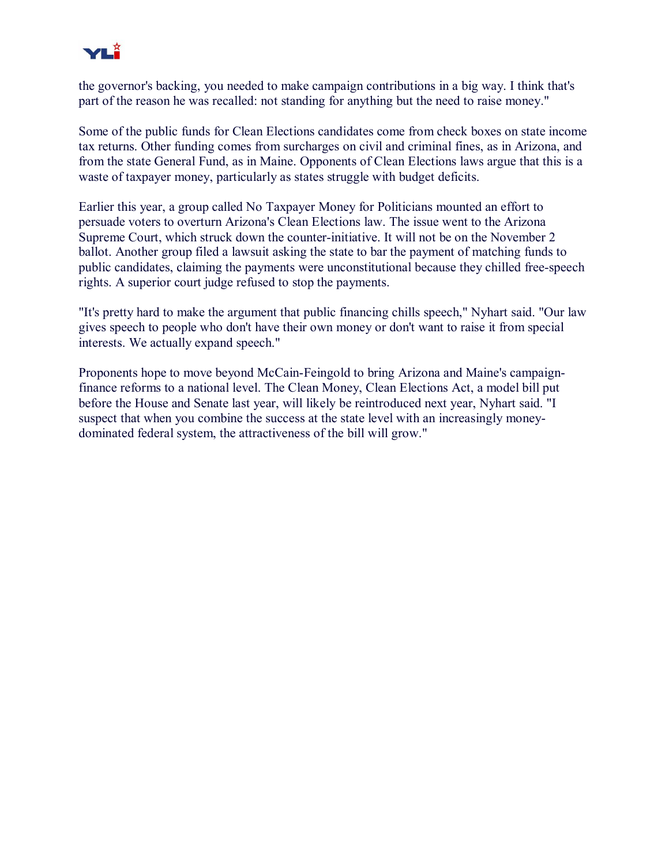

the governor's backing, you needed to make campaign contributions in a big way. I think that's part of the reason he was recalled: not standing for anything but the need to raise money."

Some of the public funds for Clean Elections candidates come from check boxes on state income tax returns. Other funding comes from surcharges on civil and criminal fines, as in Arizona, and from the state General Fund, as in Maine. Opponents of Clean Elections laws argue that this is a waste of taxpayer money, particularly as states struggle with budget deficits.

Earlier this year, a group called No Taxpayer Money for Politicians mounted an effort to persuade voters to overturn Arizona's Clean Elections law. The issue went to the Arizona Supreme Court, which struck down the counter-initiative. It will not be on the November 2 ballot. Another group filed a lawsuit asking the state to bar the payment of matching funds to public candidates, claiming the payments were unconstitutional because they chilled free-speech rights. A superior court judge refused to stop the payments.

"It's pretty hard to make the argument that public financing chills speech," Nyhart said. "Our law gives speech to people who don't have their own money or don't want to raise it from special interests. We actually expand speech."

Proponents hope to move beyond McCain-Feingold to bring Arizona and Maine's campaignfinance reforms to a national level. The Clean Money, Clean Elections Act, a model bill put before the House and Senate last year, will likely be reintroduced next year, Nyhart said. "I suspect that when you combine the success at the state level with an increasingly moneydominated federal system, the attractiveness of the bill will grow."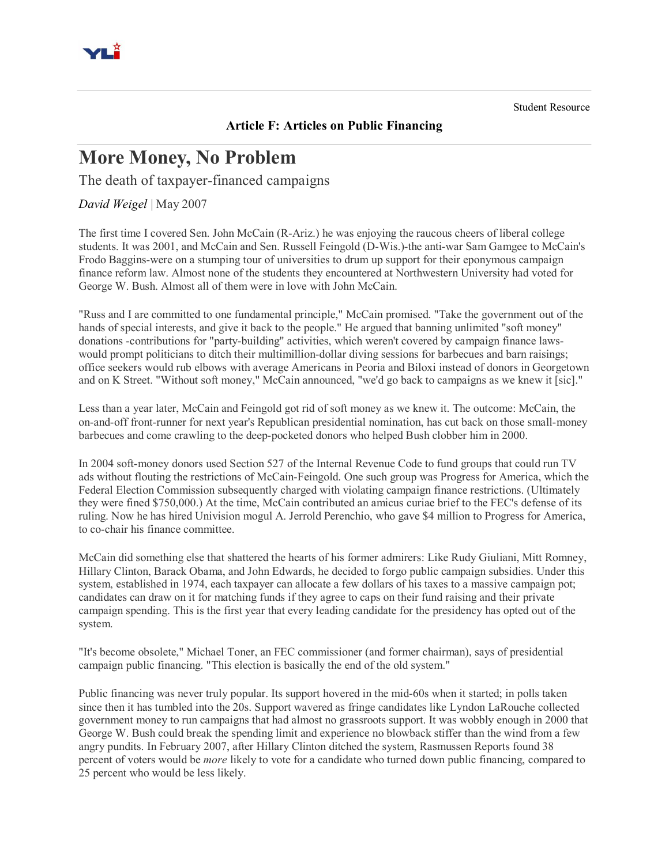

### **Article F: Articles on Public Financing**

# **More Money, No Problem**

The death of taxpayer-financed campaigns

#### *[David Weigel](http://www.reason.com/staff/show/176.html)* | May 2007

The first time I covered Sen. John McCain (R-Ariz.) he was enjoying the raucous cheers of liberal college students. It was 2001, and McCain and Sen. Russell Feingold (D-Wis.)-the anti-war Sam Gamgee to McCain's Frodo Baggins-were on a stumping tour of universities to drum up support for their eponymous campaign finance reform law. Almost none of the students they encountered at Northwestern University had voted for George W. Bush. Almost all of them were in love with John McCain.

"Russ and I are committed to one fundamental principle," McCain promised. "Take the government out of the hands of special interests, and give it back to the people." He argued that banning unlimited "soft money" donations -contributions for "party-building" activities, which weren't covered by campaign finance lawswould prompt politicians to ditch their multimillion-dollar diving sessions for barbecues and barn raisings; office seekers would rub elbows with average Americans in Peoria and Biloxi instead of donors in Georgetown and on K Street. "Without soft money," McCain announced, "we'd go back to campaigns as we knew it [sic]."

Less than a year later, McCain and Feingold got rid of soft money as we knew it. The outcome: McCain, the on-and-off front-runner for next year's Republican presidential nomination, has cut back on those small-money barbecues and come crawling to the deeppocketed donors who helped Bush clobber him in 2000.

In 2004 soft-money donors used Section 527 of the Internal Revenue Code to fund groups that could run TV ads without flouting the restrictions of McCain-Feingold. One such group was Progress for America, which the Federal Election Commission subsequently charged with violating campaign finance restrictions. (Ultimately they were fined \$750,000.) At the time, McCain contributed an amicus curiae brief to the FEC's defense of its ruling. Now he has hired Univision mogul A. Jerrold Perenchio, who gave \$4 million to Progress for America, to cochair his finance committee.

McCain did something else that shattered the hearts of his former admirers: Like Rudy Giuliani, Mitt Romney, Hillary Clinton, Barack Obama, and John Edwards, he decided to forgo public campaign subsidies. Under this system, established in 1974, each taxpayer can allocate a few dollars of his taxes to a massive campaign pot; candidates can draw on it for matching funds if they agree to caps on their fund raising and their private campaign spending. This is the first year that every leading candidate for the presidency has opted out of the system.

"It's become obsolete," Michael Toner, an FEC commissioner (and former chairman), says of presidential campaign public financing. "This election is basically the end of the old system."

Public financing was never truly popular. Its support hovered in the mid-60s when it started; in polls taken since then it has tumbled into the 20s. Support wavered as fringe candidates like Lyndon LaRouche collected government money to run campaigns that had almost no grassroots support. It was wobbly enough in 2000 that George W. Bush could break the spending limit and experience no blowback stiffer than the wind from a few angry pundits. In February 2007, after Hillary Clinton ditched the system, Rasmussen Reports found 38 percent of voters would be *more* likely to vote for a candidate who turned down public financing, compared to 25 percent who would be less likely.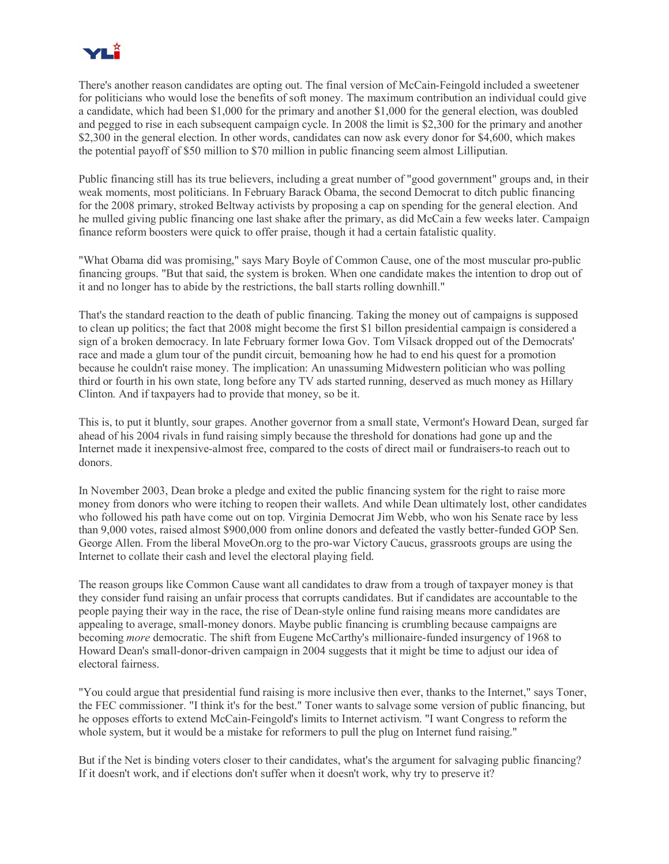

There's another reason candidates are opting out. The final version of McCain-Feingold included a sweetener for politicians who would lose the benefits of soft money. The maximum contribution an individual could give a candidate, which had been \$1,000 for the primary and another \$1,000 for the general election, was doubled and pegged to rise in each subsequent campaign cycle. In 2008 the limit is \$2,300 for the primary and another \$2,300 in the general election. In other words, candidates can now ask every donor for \$4,600, which makes the potential payoff of \$50 million to \$70 million in public financing seem almost Lilliputian.

Public financing still has its true believers, including a great number of "good government" groups and, in their weak moments, most politicians. In February Barack Obama, the second Democrat to ditch public financing for the 2008 primary, stroked Beltway activists by proposing a cap on spending for the general election. And he mulled giving public financing one last shake after the primary, as did McCain a few weeks later. Campaign finance reform boosters were quick to offer praise, though it had a certain fatalistic quality.

"What Obama did was promising," says Mary Boyle of Common Cause, one of the most muscular pro-public financing groups. "But that said, the system is broken. When one candidate makes the intention to drop out of it and no longer has to abide by the restrictions, the ball starts rolling downhill."

That's the standard reaction to the death of public financing. Taking the money out of campaigns is supposed to clean up politics; the fact that 2008 might become the first \$1 billon presidential campaign is considered a sign of a broken democracy. In late February former Iowa Gov. Tom Vilsack dropped out of the Democrats' race and made a glum tour of the pundit circuit, bemoaning how he had to end his quest for a promotion because he couldn't raise money. The implication: An unassuming Midwestern politician who was polling third or fourth in his own state, long before any TV ads started running, deserved as much money as Hillary Clinton. And if taxpayers had to provide that money, so be it.

This is, to put it bluntly, sour grapes. Another governor from a small state, Vermont's Howard Dean, surged far ahead of his 2004 rivals in fund raising simply because the threshold for donations had gone up and the Internet made it inexpensive-almost free, compared to the costs of direct mail or fundraisers-to reach out to donors.

In November 2003, Dean broke a pledge and exited the public financing system for the right to raise more money from donors who were itching to reopen their wallets. And while Dean ultimately lost, other candidates who followed his path have come out on top. Virginia Democrat Jim Webb, who won his Senate race by less than 9,000 votes, raised almost \$900,000 from online donors and defeated the vastly better-funded GOP Sen. George Allen. From the liberal MoveOn.org to the pro-war Victory Caucus, grassroots groups are using the Internet to collate their cash and level the electoral playing field.

The reason groups like Common Cause want all candidates to draw from a trough of taxpayer money is that they consider fund raising an unfair process that corrupts candidates. But if candidates are accountable to the people paying their way in the race, the rise of Dean-style online fund raising means more candidates are appealing to average, small-money donors. Maybe public financing is crumbling because campaigns are becoming *more* democratic. The shift from Eugene McCarthy's millionaire-funded insurgency of 1968 to Howard Dean's small-donor-driven campaign in 2004 suggests that it might be time to adjust our idea of electoral fairness.

"You could argue that presidential fund raising is more inclusive then ever, thanks to the Internet," says Toner, the FEC commissioner. "I think it's for the best." Toner wants to salvage some version of public financing, but he opposes efforts to extend McCain-Feingold's limits to Internet activism. "I want Congress to reform the whole system, but it would be a mistake for reformers to pull the plug on Internet fund raising."

But if the Net is binding voters closer to their candidates, what's the argument for salvaging public financing? If it doesn't work, and if elections don't suffer when it doesn't work, why try to preserve it?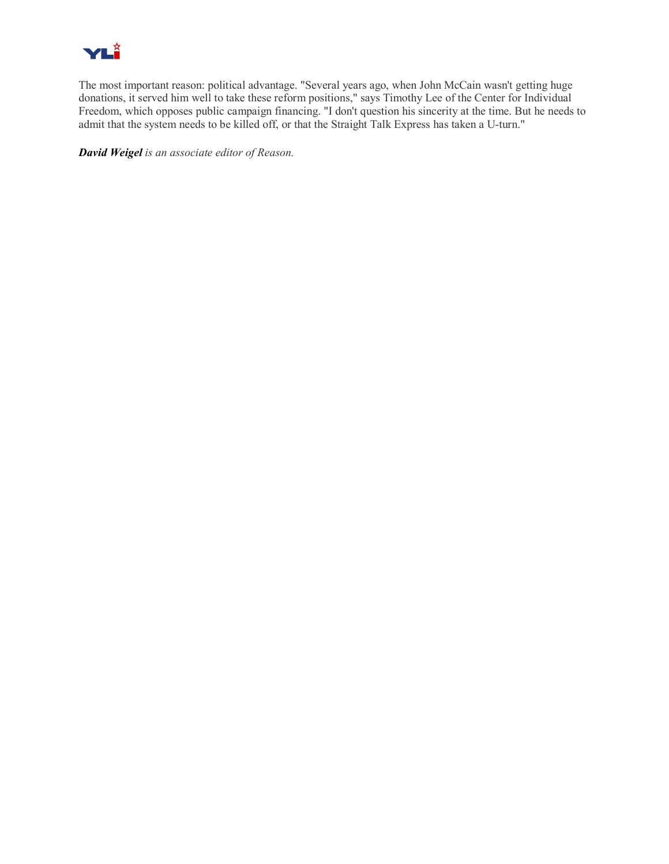

The most important reason: political advantage. "Several years ago, when John McCain wasn't getting huge donations, it served him well to take these reform positions," says Timothy Lee of the Center for Individual Freedom, which opposes public campaign financing. "I don't question his sincerity at the time. But he needs to admit that the system needs to be killed off, or that the Straight Talk Express has taken a U-turn."

*[David Weigel](http://www.reason.com/dweigel%40reason.com) is an associate editor of Reason.*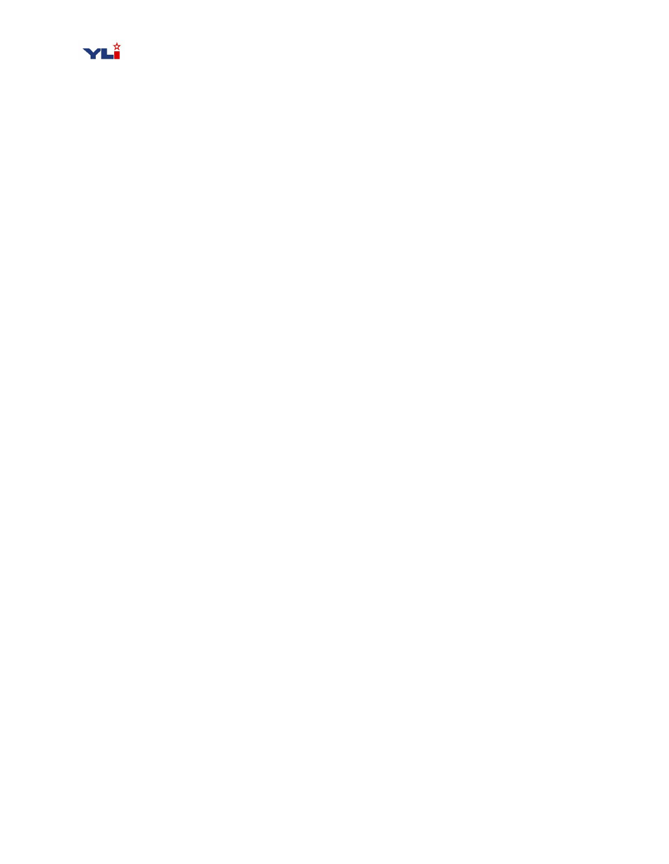